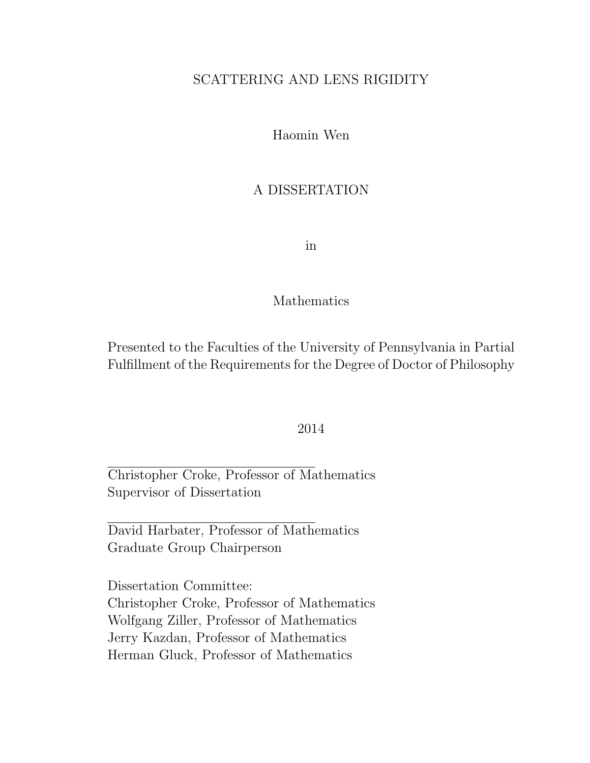## SCATTERING AND LENS RIGIDITY

Haomin Wen

### A DISSERTATION

in

#### Mathematics

Presented to the Faculties of the University of Pennsylvania in Partial Fulfillment of the Requirements for the Degree of Doctor of Philosophy

#### 2014

Christopher Croke, Professor of Mathematics Supervisor of Dissertation

David Harbater, Professor of Mathematics Graduate Group Chairperson

Dissertation Committee: Christopher Croke, Professor of Mathematics Wolfgang Ziller, Professor of Mathematics Jerry Kazdan, Professor of Mathematics Herman Gluck, Professor of Mathematics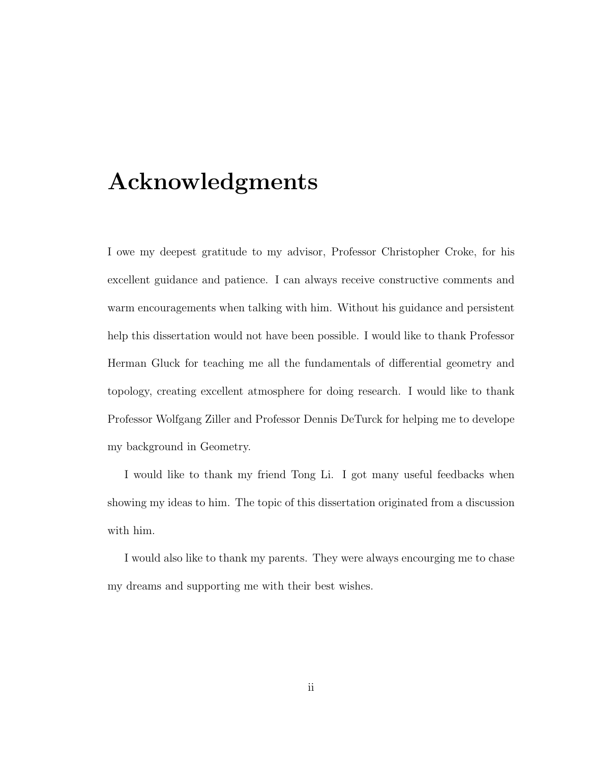## Acknowledgments

I owe my deepest gratitude to my advisor, Professor Christopher Croke, for his excellent guidance and patience. I can always receive constructive comments and warm encouragements when talking with him. Without his guidance and persistent help this dissertation would not have been possible. I would like to thank Professor Herman Gluck for teaching me all the fundamentals of differential geometry and topology, creating excellent atmosphere for doing research. I would like to thank Professor Wolfgang Ziller and Professor Dennis DeTurck for helping me to develope my background in Geometry.

I would like to thank my friend Tong Li. I got many useful feedbacks when showing my ideas to him. The topic of this dissertation originated from a discussion with him.

I would also like to thank my parents. They were always encourging me to chase my dreams and supporting me with their best wishes.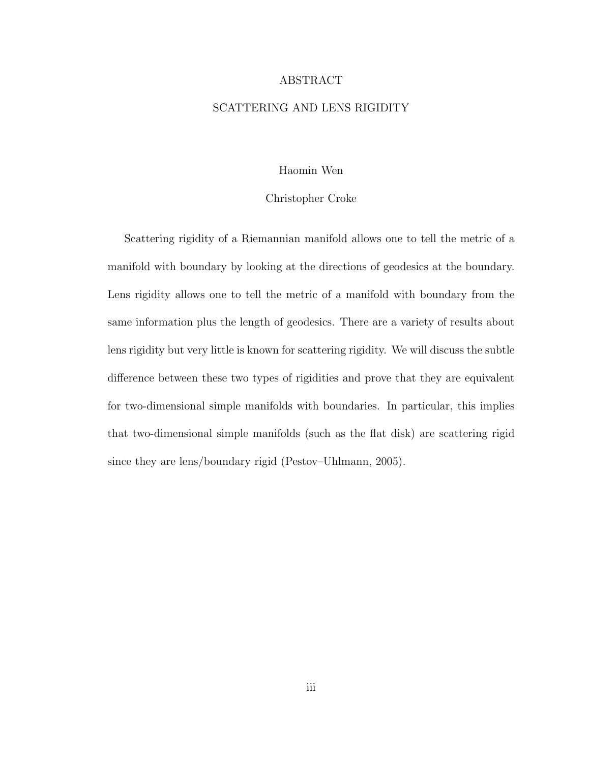#### ABSTRACT

#### SCATTERING AND LENS RIGIDITY

#### Haomin Wen

#### Christopher Croke

Scattering rigidity of a Riemannian manifold allows one to tell the metric of a manifold with boundary by looking at the directions of geodesics at the boundary. Lens rigidity allows one to tell the metric of a manifold with boundary from the same information plus the length of geodesics. There are a variety of results about lens rigidity but very little is known for scattering rigidity. We will discuss the subtle difference between these two types of rigidities and prove that they are equivalent for two-dimensional simple manifolds with boundaries. In particular, this implies that two-dimensional simple manifolds (such as the flat disk) are scattering rigid since they are lens/boundary rigid (Pestov–Uhlmann, 2005).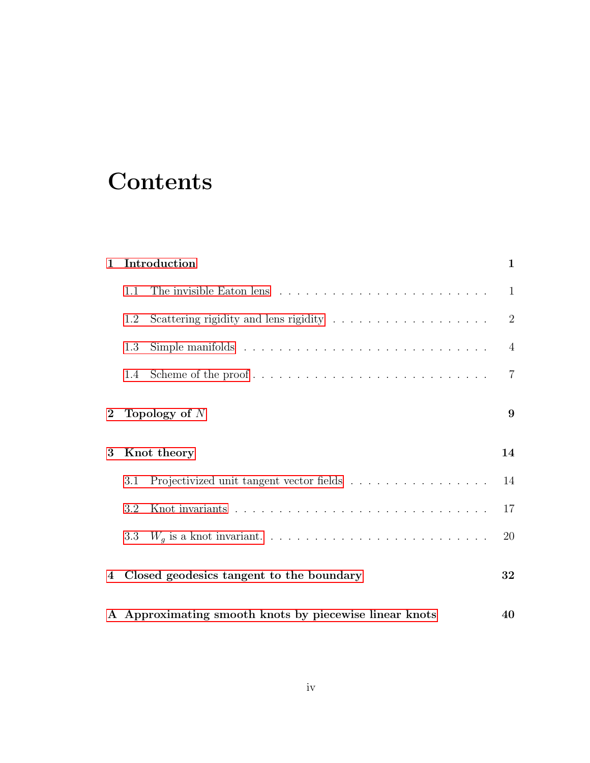# **Contents**

| $\mathbf{1}$     | Introduction    |                                          | 1              |
|------------------|-----------------|------------------------------------------|----------------|
|                  | 1.1             |                                          | 1              |
|                  | 1.2             |                                          | $\overline{2}$ |
|                  | 1.3             |                                          | $\overline{4}$ |
|                  | 1.4             | Scheme of the proof                      | $\overline{7}$ |
| $\boldsymbol{2}$ | Topology of $N$ |                                          | 9              |
| 3                | Knot theory     |                                          | 14             |
|                  |                 |                                          |                |
|                  | 3.1             | Projectivized unit tangent vector fields | 14             |
|                  | 3.2             |                                          | 17             |
|                  | 3.3             |                                          | 20             |
| 4                |                 | Closed geodesics tangent to the boundary | 32             |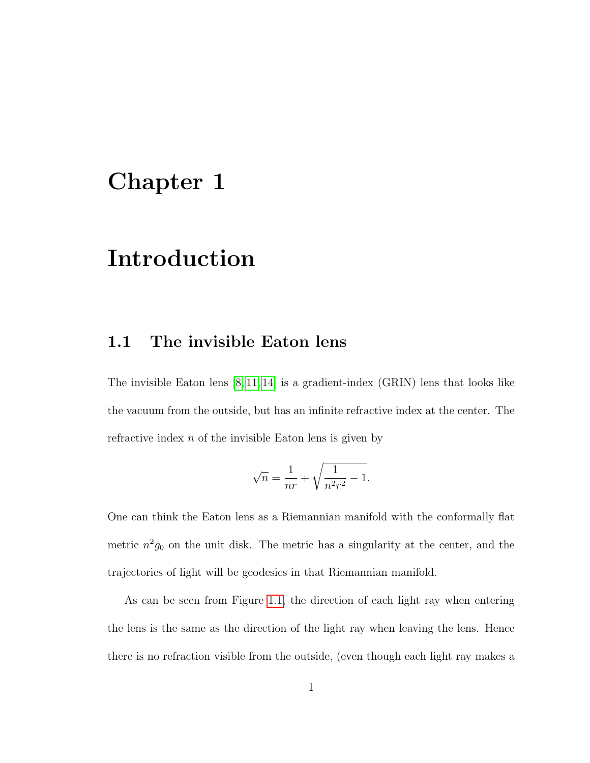## <span id="page-4-0"></span>Chapter 1

# Introduction

### <span id="page-4-1"></span>1.1 The invisible Eaton lens

The invisible Eaton lens [\[8,](#page-51-0) [11,](#page-51-1) [14\]](#page-51-2) is a gradient-index (GRIN) lens that looks like the vacuum from the outside, but has an infinite refractive index at the center. The refractive index  $n$  of the invisible Eaton lens is given by

$$
\sqrt{n} = \frac{1}{nr} + \sqrt{\frac{1}{n^2 r^2} - 1}.
$$

One can think the Eaton lens as a Riemannian manifold with the conformally flat metric  $n^2g_0$  on the unit disk. The metric has a singularity at the center, and the trajectories of light will be geodesics in that Riemannian manifold.

As can be seen from Figure [1.1,](#page-5-1) the direction of each light ray when entering the lens is the same as the direction of the light ray when leaving the lens. Hence there is no refraction visible from the outside, (even though each light ray makes a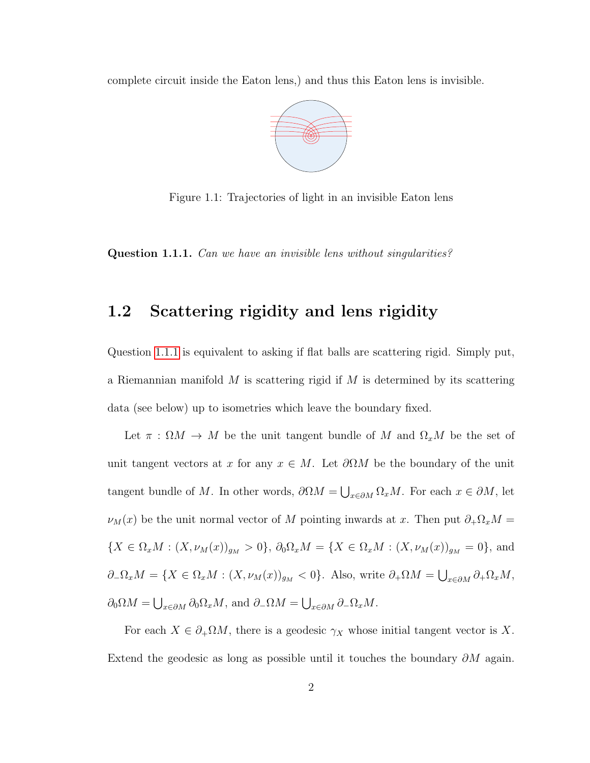<span id="page-5-1"></span>complete circuit inside the Eaton lens,) and thus this Eaton lens is invisible.



Figure 1.1: Trajectories of light in an invisible Eaton lens

<span id="page-5-2"></span><span id="page-5-0"></span>Question 1.1.1. Can we have an invisible lens without singularities?

#### 1.2 Scattering rigidity and lens rigidity

Question [1.1.1](#page-5-2) is equivalent to asking if flat balls are scattering rigid. Simply put, a Riemannian manifold  $M$  is scattering rigid if  $M$  is determined by its scattering data (see below) up to isometries which leave the boundary fixed.

Let  $\pi : \Omega M \to M$  be the unit tangent bundle of M and  $\Omega_x M$  be the set of unit tangent vectors at x for any  $x \in M$ . Let  $\partial \Omega M$  be the boundary of the unit tangent bundle of M. In other words,  $\partial \Omega M = \bigcup_{x \in \partial M} \Omega_x M$ . For each  $x \in \partial M$ , let  $\nu_M(x)$  be the unit normal vector of M pointing inwards at x. Then put  $\partial_+\Omega_x M =$  ${X \in \Omega_x M : (X, \nu_M(x))_{g_M} > 0}, \ \partial_0 \Omega_x M = {X \in \Omega_x M : (X, \nu_M(x))_{g_M} = 0}, \ \text{and}$  $\partial_-\Omega_x M = \{X \in \Omega_x M : (X, \nu_M(x))_{g_M} < 0\}.$  Also, write  $\partial_+\Omega M = \bigcup_{x \in \partial M} \partial_+\Omega_x M$ ,  $\partial_0 \Omega M = \bigcup_{x \in \partial M} \partial_0 \Omega_x M$ , and  $\partial_- \Omega M = \bigcup_{x \in \partial M} \partial_- \Omega_x M$ .

For each  $X \in \partial_{+}\Omega M$ , there is a geodesic  $\gamma_X$  whose initial tangent vector is X. Extend the geodesic as long as possible until it touches the boundary  $\partial M$  again.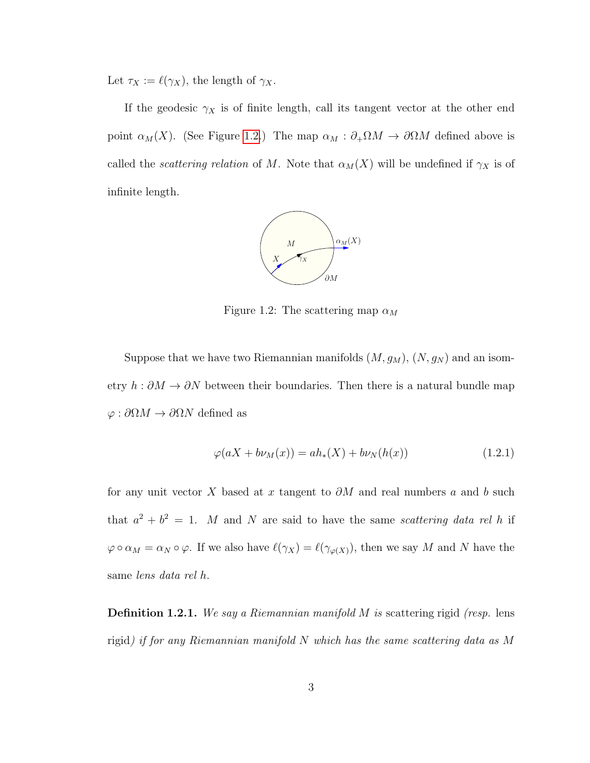Let  $\tau_X := \ell(\gamma_X),$  the length of  $\gamma_X$ .

<span id="page-6-0"></span>If the geodesic  $\gamma_X$  is of finite length, call its tangent vector at the other end point  $\alpha_M(X)$ . (See Figure [1.2.](#page-6-0)) The map  $\alpha_M : \partial_+ \Omega M \to \partial \Omega M$  defined above is called the *scattering relation* of M. Note that  $\alpha_M(X)$  will be undefined if  $\gamma_X$  is of infinite length.



Figure 1.2: The scattering map  $\alpha_M$ 

Suppose that we have two Riemannian manifolds  $(M, g_M)$ ,  $(N, g_N)$  and an isometry  $h : \partial M \to \partial N$  between their boundaries. Then there is a natural bundle map  $\varphi:\partial \Omega M\to \partial \Omega N$  defined as

<span id="page-6-1"></span>
$$
\varphi(aX + b\nu_M(x)) = ah_*(X) + b\nu_N(h(x))
$$
\n(1.2.1)

for any unit vector X based at x tangent to  $\partial M$  and real numbers a and b such that  $a^2 + b^2 = 1$ . M and N are said to have the same scattering data rel h if  $\varphi \circ \alpha_M = \alpha_N \circ \varphi$ . If we also have  $\ell(\gamma_X) = \ell(\gamma_{\varphi(X)})$ , then we say M and N have the same lens data rel h.

**Definition 1.2.1.** We say a Riemannian manifold M is scattering rigid (resp. lens rigid) if for any Riemannian manifold N which has the same scattering data as M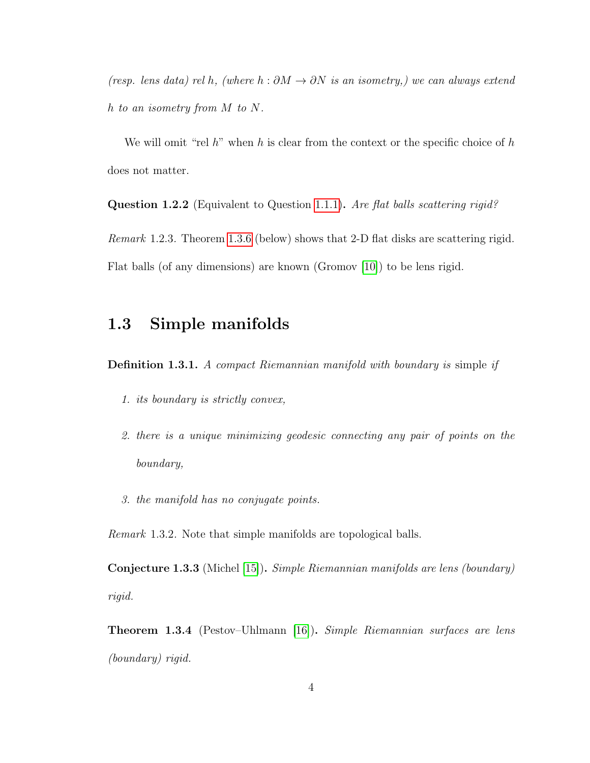(resp. lens data) rel h, (where  $h : \partial M \to \partial N$  is an isometry,) we can always extend h to an isometry from M to N.

We will omit "rel  $h$ " when  $h$  is clear from the context or the specific choice of  $h$ does not matter.

**Question 1.2.2** (Equivalent to Question [1.1.1\)](#page-5-2). Are flat balls scattering rigid?

Remark 1.2.3. Theorem [1.3.6](#page-8-0) (below) shows that 2-D flat disks are scattering rigid. Flat balls (of any dimensions) are known (Gromov [\[10\]](#page-51-3)) to be lens rigid.

## <span id="page-7-0"></span>1.3 Simple manifolds

Definition 1.3.1. A compact Riemannian manifold with boundary is simple if

- 1. its boundary is strictly convex,
- 2. there is a unique minimizing geodesic connecting any pair of points on the boundary,
- 3. the manifold has no conjugate points.

Remark 1.3.2. Note that simple manifolds are topological balls.

**Conjecture 1.3.3** (Michel [\[15\]](#page-51-4)). Simple Riemannian manifolds are lens (boundary) rigid.

<span id="page-7-1"></span>Theorem 1.3.4 (Pestov–Uhlmann [\[16\]](#page-52-0)). Simple Riemannian surfaces are lens (boundary) rigid.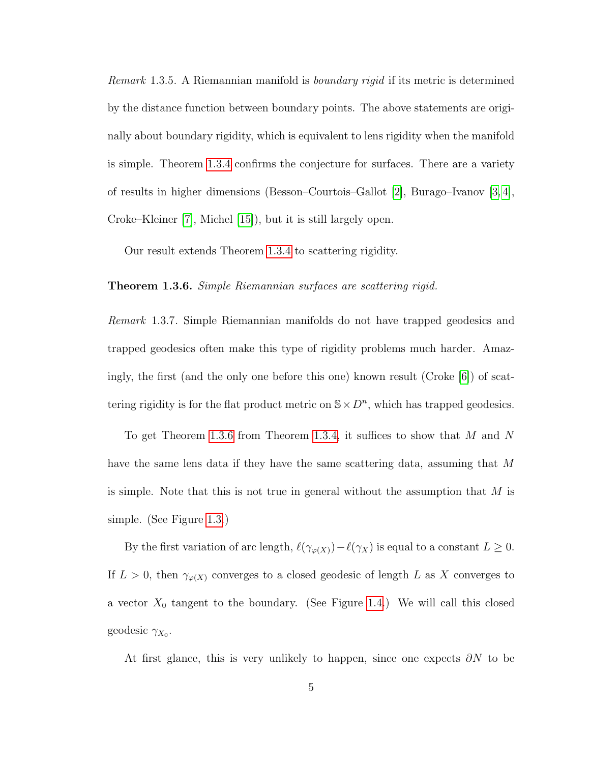Remark 1.3.5. A Riemannian manifold is boundary rigid if its metric is determined by the distance function between boundary points. The above statements are originally about boundary rigidity, which is equivalent to lens rigidity when the manifold is simple. Theorem [1.3.4](#page-7-1) confirms the conjecture for surfaces. There are a variety of results in higher dimensions (Besson–Courtois–Gallot [\[2\]](#page-50-0), Burago–Ivanov [\[3,](#page-50-1) [4\]](#page-50-2), Croke–Kleiner [\[7\]](#page-51-5), Michel [\[15\]](#page-51-4)), but it is still largely open.

Our result extends Theorem [1.3.4](#page-7-1) to scattering rigidity.

<span id="page-8-0"></span>**Theorem 1.3.6.** Simple Riemannian surfaces are scattering rigid.

Remark 1.3.7. Simple Riemannian manifolds do not have trapped geodesics and trapped geodesics often make this type of rigidity problems much harder. Amazingly, the first (and the only one before this one) known result (Croke [\[6\]](#page-50-3)) of scattering rigidity is for the flat product metric on  $\mathbb{S} \times D^n$ , which has trapped geodesics.

To get Theorem [1.3.6](#page-8-0) from Theorem [1.3.4,](#page-7-1) it suffices to show that M and N have the same lens data if they have the same scattering data, assuming that M is simple. Note that this is not true in general without the assumption that  $M$  is simple. (See Figure [1.3.](#page-9-0))

By the first variation of arc length,  $\ell(\gamma_{\varphi(X)})-\ell(\gamma_X)$  is equal to a constant  $L \geq 0$ . If  $L > 0$ , then  $\gamma_{\varphi(X)}$  converges to a closed geodesic of length L as X converges to a vector  $X_0$  tangent to the boundary. (See Figure [1.4.](#page-9-1)) We will call this closed geodesic  $\gamma_{X_0}$ .

At first glance, this is very unlikely to happen, since one expects  $\partial N$  to be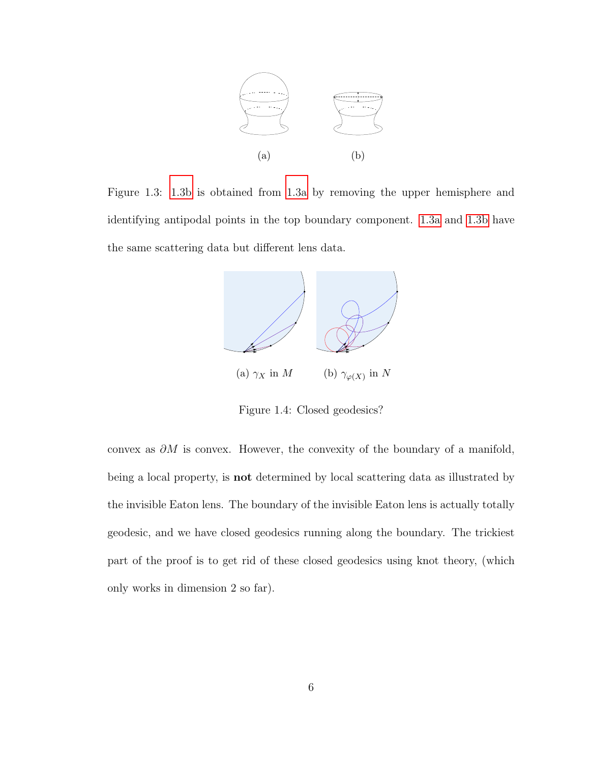<span id="page-9-0"></span>

<span id="page-9-1"></span>Figure 1.3: [1.3b](#page-9-0) is obtained from [1.3a](#page-9-0) by removing the upper hemisphere and identifying antipodal points in the top boundary component. [1.3a](#page-9-0) and [1.3b](#page-9-0) have the same scattering data but different lens data.



Figure 1.4: Closed geodesics?

convex as  $\partial M$  is convex. However, the convexity of the boundary of a manifold, being a local property, is not determined by local scattering data as illustrated by the invisible Eaton lens. The boundary of the invisible Eaton lens is actually totally geodesic, and we have closed geodesics running along the boundary. The trickiest part of the proof is to get rid of these closed geodesics using knot theory, (which only works in dimension 2 so far).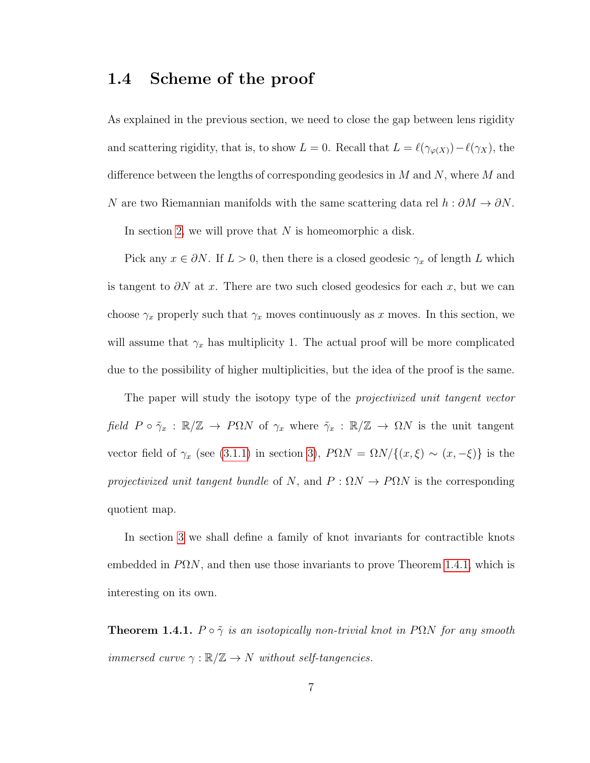### <span id="page-10-0"></span>1.4 Scheme of the proof

As explained in the previous section, we need to close the gap between lens rigidity and scattering rigidity, that is, to show  $L = 0$ . Recall that  $L = \ell(\gamma_{\varphi(X)}) - \ell(\gamma_X)$ , the difference between the lengths of corresponding geodesics in  $M$  and  $N$ , where  $M$  and N are two Riemannian manifolds with the same scattering data rel  $h : \partial M \to \partial N$ .

In section [2,](#page-12-0) we will prove that  $N$  is homeomorphic a disk.

Pick any  $x \in \partial N$ . If  $L > 0$ , then there is a closed geodesic  $\gamma_x$  of length L which is tangent to  $\partial N$  at x. There are two such closed geodesics for each x, but we can choose  $\gamma_x$  properly such that  $\gamma_x$  moves continuously as x moves. In this section, we will assume that  $\gamma_x$  has multiplicity 1. The actual proof will be more complicated due to the possibility of higher multiplicities, but the idea of the proof is the same.

The paper will study the isotopy type of the projectivized unit tangent vector field  $P \circ \tilde{\gamma}_x : \mathbb{R}/\mathbb{Z} \to P\Omega N$  of  $\gamma_x$  where  $\tilde{\gamma}_x : \mathbb{R}/\mathbb{Z} \to \Omega N$  is the unit tangent vector field of  $\gamma_x$  (see [\(3.1.1\)](#page-17-2) in section [3\)](#page-17-0),  $P\Omega N = \Omega N / \{(x, \xi) \sim (x, -\xi)\}\$ is the projectivized unit tangent bundle of N, and  $P : \Omega N \to P\Omega N$  is the corresponding quotient map.

In section [3](#page-17-0) we shall define a family of knot invariants for contractible knots embedded in  $P\Omega N$ , and then use those invariants to prove Theorem [1.4.1,](#page-10-1) which is interesting on its own.

<span id="page-10-1"></span>**Theorem 1.4.1.**  $P \circ \tilde{\gamma}$  is an isotopically non-trivial knot in PQN for any smooth immersed curve  $\gamma : \mathbb{R}/\mathbb{Z} \to N$  without self-tangencies.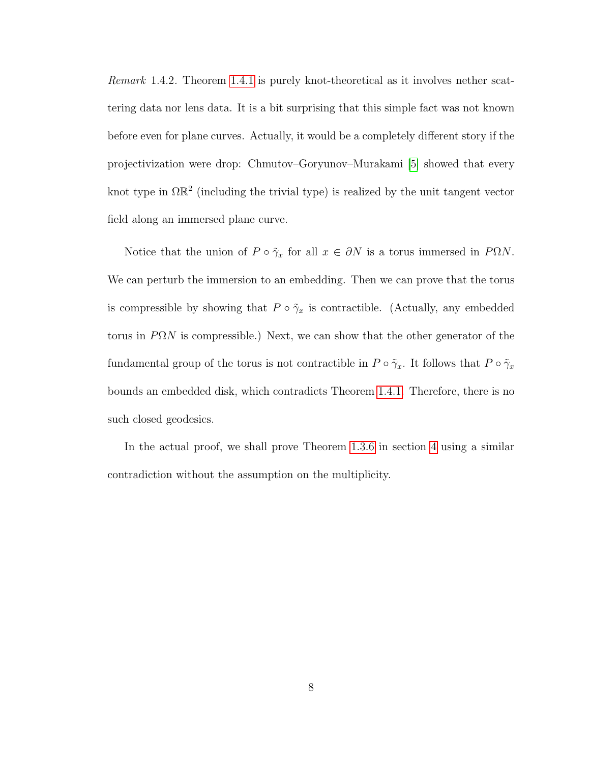Remark 1.4.2. Theorem [1.4.1](#page-10-1) is purely knot-theoretical as it involves nether scattering data nor lens data. It is a bit surprising that this simple fact was not known before even for plane curves. Actually, it would be a completely different story if the projectivization were drop: Chmutov–Goryunov–Murakami [\[5\]](#page-50-4) showed that every knot type in  $\Omega \mathbb{R}^2$  (including the trivial type) is realized by the unit tangent vector field along an immersed plane curve.

Notice that the union of  $P \circ \tilde{\gamma}_x$  for all  $x \in \partial N$  is a torus immersed in  $P\Omega N$ . We can perturb the immersion to an embedding. Then we can prove that the torus is compressible by showing that  $P \circ \tilde{\gamma}_x$  is contractible. (Actually, any embedded torus in  $P\Omega N$  is compressible.) Next, we can show that the other generator of the fundamental group of the torus is not contractible in  $P \circ \tilde{\gamma}_x$ . It follows that  $P \circ \tilde{\gamma}_x$ bounds an embedded disk, which contradicts Theorem [1.4.1.](#page-10-1) Therefore, there is no such closed geodesics.

In the actual proof, we shall prove Theorem [1.3.6](#page-8-0) in section [4](#page-35-0) using a similar contradiction without the assumption on the multiplicity.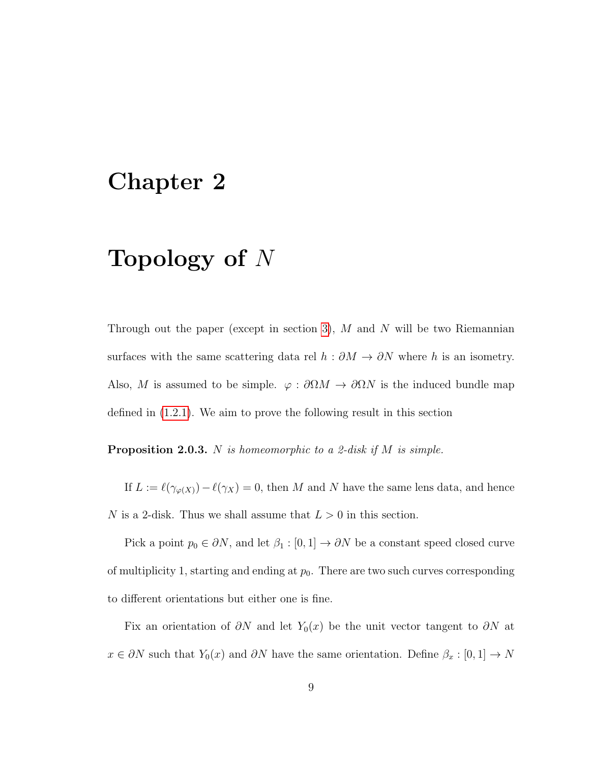## <span id="page-12-0"></span>Chapter 2

## Topology of  $N$

Through out the paper (except in section [3\)](#page-17-0),  $M$  and  $N$  will be two Riemannian surfaces with the same scattering data rel  $h : \partial M \to \partial N$  where h is an isometry. Also, M is assumed to be simple.  $\varphi : \partial \Omega M \to \partial \Omega N$  is the induced bundle map defined in [\(1.2.1\)](#page-6-1). We aim to prove the following result in this section

<span id="page-12-1"></span>**Proposition 2.0.3.** N is homeomorphic to a 2-disk if M is simple.

If  $L := \ell(\gamma_{\varphi(X)}) - \ell(\gamma_X) = 0$ , then M and N have the same lens data, and hence N is a 2-disk. Thus we shall assume that  $L > 0$  in this section.

Pick a point  $p_0 \in \partial N$ , and let  $\beta_1 : [0, 1] \to \partial N$  be a constant speed closed curve of multiplicity 1, starting and ending at  $p_0$ . There are two such curves corresponding to different orientations but either one is fine.

Fix an orientation of  $\partial N$  and let  $Y_0(x)$  be the unit vector tangent to  $\partial N$  at  $x\in \partial N$  such that  $Y_0(x)$  and  $\partial N$  have the same orientation. Define  $\beta_x:[0,1]\to N$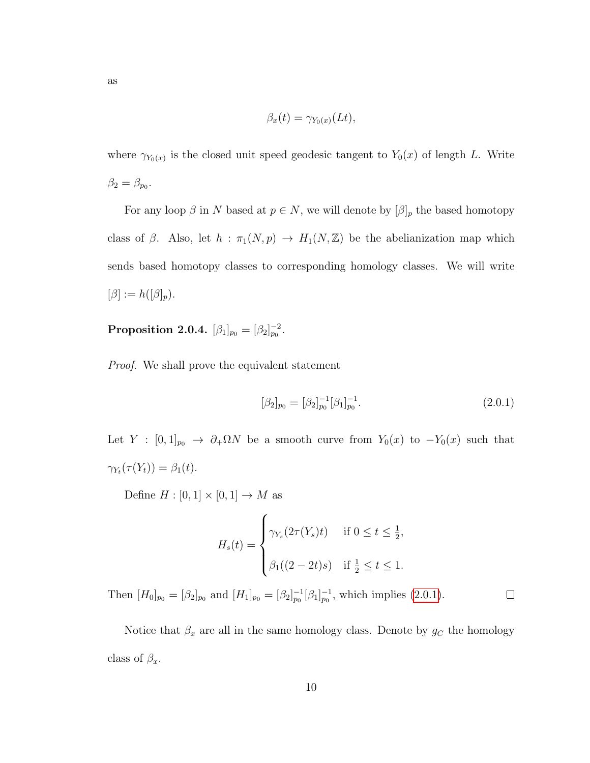$$
\beta_x(t) = \gamma_{Y_0(x)}(Lt),
$$

where  $\gamma_{Y_0(x)}$  is the closed unit speed geodesic tangent to  $Y_0(x)$  of length L. Write  $\beta_2 = \beta_{p_0}.$ 

For any loop  $\beta$  in N based at  $p \in N$ , we will denote by  $[\beta]_p$  the based homotopy class of  $\beta$ . Also, let  $h : \pi_1(N, p) \to H_1(N, \mathbb{Z})$  be the abelianization map which sends based homotopy classes to corresponding homology classes. We will write  $[\beta] := h([\beta]_p).$ 

<span id="page-13-1"></span>Proposition 2.0.4.  $[\beta_1]_{p_0} = [\beta_2]_{p_0}^{-2}$ .

Proof. We shall prove the equivalent statement

$$
[\beta_2]_{p_0} = [\beta_2]_{p_0}^{-1} [\beta_1]_{p_0}^{-1}.
$$
\n(2.0.1)

<span id="page-13-0"></span> $\Box$ 

Let  $Y : [0,1]_{p_0} \rightarrow \partial_+ \Omega N$  be a smooth curve from  $Y_0(x)$  to  $-Y_0(x)$  such that  $\gamma_{Y_t}(\tau(Y_t)) = \beta_1(t).$ 

Define  $H : [0,1] \times [0,1] \rightarrow M$  as

$$
H_s(t) = \begin{cases} \gamma_{Y_s}(2\tau(Y_s)t) & \text{if } 0 \le t \le \frac{1}{2}, \\ \beta_1((2-2t)s) & \text{if } \frac{1}{2} \le t \le 1. \end{cases}
$$

Then  $[H_0]_{p_0} = [\beta_2]_{p_0}$  and  $[H_1]_{p_0} = [\beta_2]_{p_0}^{-1} [\beta_1]_{p_0}^{-1}$ , which implies [\(2.0.1\)](#page-13-0).

Notice that  $\beta_x$  are all in the same homology class. Denote by  $g_C$  the homology class of  $\beta_x$ .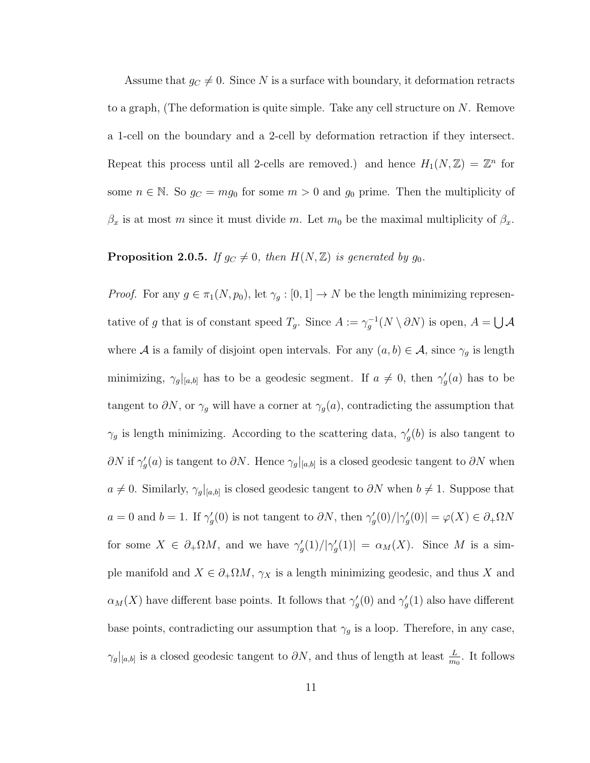Assume that  $g_C \neq 0$ . Since N is a surface with boundary, it deformation retracts to a graph, (The deformation is quite simple. Take any cell structure on  $N$ . Remove a 1-cell on the boundary and a 2-cell by deformation retraction if they intersect. Repeat this process until all 2-cells are removed.) and hence  $H_1(N, \mathbb{Z}) = \mathbb{Z}^n$  for some  $n \in \mathbb{N}$ . So  $g_C = mg_0$  for some  $m > 0$  and  $g_0$  prime. Then the multiplicity of  $\beta_x$  is at most m since it must divide m. Let  $m_0$  be the maximal multiplicity of  $\beta_x$ .

#### <span id="page-14-0"></span>**Proposition 2.0.5.** If  $g_C \neq 0$ , then  $H(N, \mathbb{Z})$  is generated by  $g_0$ .

*Proof.* For any  $g \in \pi_1(N, p_0)$ , let  $\gamma_g : [0, 1] \to N$  be the length minimizing representative of g that is of constant speed  $T_g$ . Since  $A := \gamma_g^{-1}(N \setminus \partial N)$  is open,  $A = \bigcup A$ where A is a family of disjoint open intervals. For any  $(a, b) \in A$ , since  $\gamma_g$  is length minimizing,  $\gamma_g|_{[a,b]}$  has to be a geodesic segment. If  $a \neq 0$ , then  $\gamma'_g(a)$  has to be tangent to  $\partial N$ , or  $\gamma_g$  will have a corner at  $\gamma_g(a)$ , contradicting the assumption that  $\gamma_g$  is length minimizing. According to the scattering data,  $\gamma'_g(b)$  is also tangent to  $\partial N$  if  $\gamma_g'(a)$  is tangent to  $\partial N$ . Hence  $\gamma_g|_{[a,b]}$  is a closed geodesic tangent to  $\partial N$  when  $a \neq 0$ . Similarly,  $\gamma_g|_{[a,b]}$  is closed geodesic tangent to  $\partial N$  when  $b \neq 1$ . Suppose that  $a = 0$  and  $b = 1$ . If  $\gamma_g'(0)$  is not tangent to  $\partial N$ , then  $\gamma_g'(0)/|\gamma_g'(0)| = \varphi(X) \in \partial_+\Omega N$ for some  $X \in \partial_+\Omega M$ , and we have  $\gamma_g'(1)/|\gamma_g'(1)| = \alpha_M(X)$ . Since M is a simple manifold and  $X \in \partial_{+}\Omega M$ ,  $\gamma_{X}$  is a length minimizing geodesic, and thus X and  $\alpha_M(X)$  have different base points. It follows that  $\gamma_g'(0)$  and  $\gamma_g'(1)$  also have different base points, contradicting our assumption that  $\gamma_g$  is a loop. Therefore, in any case,  $\gamma_g|_{[a,b]}$  is a closed geodesic tangent to  $\partial N$ , and thus of length at least  $\frac{L}{m_0}$ . It follows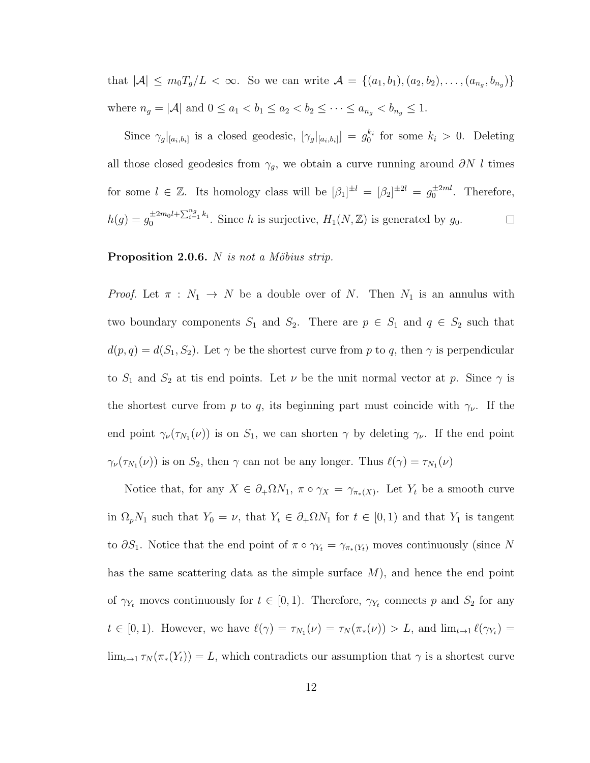that  $|A| \leq m_0 T_g/L < \infty$ . So we can write  $A = \{(a_1, b_1), (a_2, b_2), \ldots, (a_{n_g}, b_{n_g})\}$ where  $n_g = |\mathcal{A}|$  and  $0 \le a_1 < b_1 \le a_2 < b_2 \le \cdots \le a_{n_g} < b_{n_g} \le 1$ .

Since  $\gamma_g|_{[a_i,b_i]}$  is a closed geodesic,  $[\gamma_g|_{[a_i,b_i]}] = g_0^{k_i}$  for some  $k_i > 0$ . Deleting all those closed geodesics from  $\gamma_g$ , we obtain a curve running around  $\partial N l$  times for some  $l \in \mathbb{Z}$ . Its homology class will be  $[\beta_1]^{\pm l} = [\beta_2]^{\pm 2l} = g_0^{\pm 2ml}$ . Therefore,  $h(g) = g_0^{\pm 2m_0 l + \sum_{i=1}^{n_g} k_i}$ . Since h is surjective,  $H_1(N, \mathbb{Z})$  is generated by  $g_0$ .  $\Box$ 

#### <span id="page-15-0"></span>**Proposition 2.0.6.** N is not a Möbius strip.

*Proof.* Let  $\pi : N_1 \to N$  be a double over of N. Then  $N_1$  is an annulus with two boundary components  $S_1$  and  $S_2$ . There are  $p \in S_1$  and  $q \in S_2$  such that  $d(p, q) = d(S_1, S_2)$ . Let  $\gamma$  be the shortest curve from p to q, then  $\gamma$  is perpendicular to  $S_1$  and  $S_2$  at tis end points. Let  $\nu$  be the unit normal vector at  $p$ . Since  $\gamma$  is the shortest curve from p to q, its beginning part must coincide with  $\gamma_{\nu}$ . If the end point  $\gamma_{\nu}(\tau_{N_1}(\nu))$  is on  $S_1$ , we can shorten  $\gamma$  by deleting  $\gamma_{\nu}$ . If the end point  $\gamma_{\nu}(\tau_{N_1}(\nu))$  is on  $S_2$ , then  $\gamma$  can not be any longer. Thus  $\ell(\gamma) = \tau_{N_1}(\nu)$ 

Notice that, for any  $X \in \partial_+\Omega N_1$ ,  $\pi \circ \gamma_X = \gamma_{\pi_*(X)}$ . Let  $Y_t$  be a smooth curve in  $\Omega_p N_1$  such that  $Y_0 = \nu$ , that  $Y_t \in \partial_+ \Omega N_1$  for  $t \in [0,1)$  and that  $Y_1$  is tangent to  $\partial S_1$ . Notice that the end point of  $\pi \circ \gamma_{Y_t} = \gamma_{\pi_*(Y_t)}$  moves continuously (since N has the same scattering data as the simple surface  $M$ ), and hence the end point of  $\gamma_{Y_t}$  moves continuously for  $t \in [0,1)$ . Therefore,  $\gamma_{Y_t}$  connects p and  $S_2$  for any  $t \in [0,1)$ . However, we have  $\ell(\gamma) = \tau_{N_1}(\nu) = \tau_N(\pi_*(\nu)) > L$ , and  $\lim_{t \to 1} \ell(\gamma_{Y_t}) =$  $\lim_{t\to 1} \tau_N(\pi_*(Y_t)) = L$ , which contradicts our assumption that  $\gamma$  is a shortest curve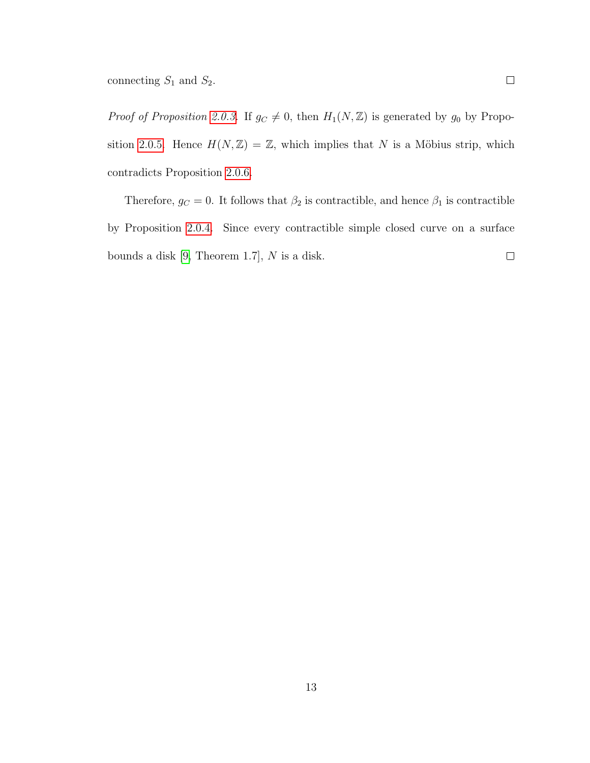*Proof of Proposition [2.0.3.](#page-12-1)* If  $g_C \neq 0$ , then  $H_1(N, \mathbb{Z})$  is generated by  $g_0$  by Propo-sition [2.0.5.](#page-14-0) Hence  $H(N, \mathbb{Z}) = \mathbb{Z}$ , which implies that N is a Möbius strip, which contradicts Proposition [2.0.6.](#page-15-0)

Therefore,  $g_C = 0$ . It follows that  $\beta_2$  is contractible, and hence  $\beta_1$  is contractible by Proposition [2.0.4.](#page-13-1) Since every contractible simple closed curve on a surface  $\Box$ bounds a disk  $[9,$  Theorem 1.7],  $N$  is a disk.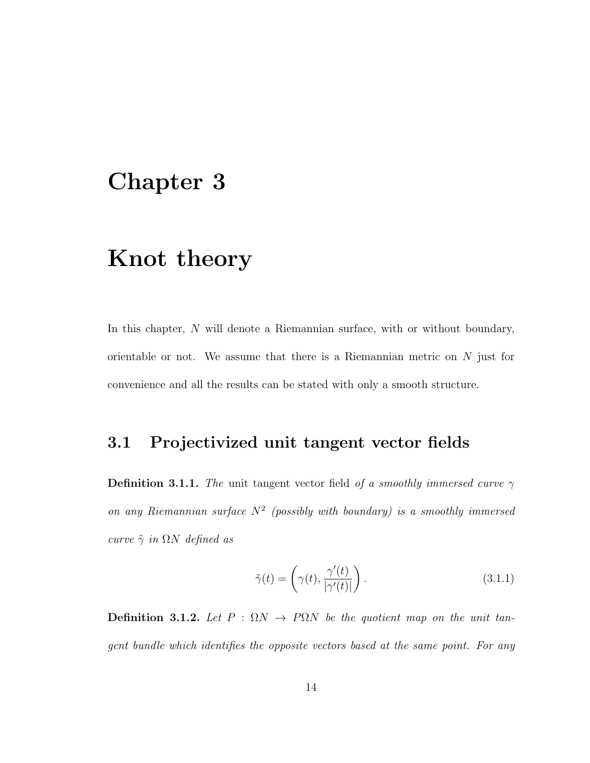## <span id="page-17-0"></span>Chapter 3

## Knot theory

In this chapter, N will denote a Riemannian surface, with or without boundary, orientable or not. We assume that there is a Riemannian metric on  $N$  just for convenience and all the results can be stated with only a smooth structure.

## <span id="page-17-1"></span>3.1 Projectivized unit tangent vector fields

**Definition 3.1.1.** The unit tangent vector field of a smoothly immersed curve  $\gamma$ on any Riemannian surface  $N^2$  (possibly with boundary) is a smoothly immersed curve  $\tilde{\gamma}$  in  $\Omega N$  defined as

<span id="page-17-2"></span>
$$
\tilde{\gamma}(t) = \left(\gamma(t), \frac{\gamma'(t)}{|\gamma'(t)|}\right). \tag{3.1.1}
$$

Definition 3.1.2. Let  $P : \Omega N \to P\Omega N$  be the quotient map on the unit tangent bundle which identifies the opposite vectors based at the same point. For any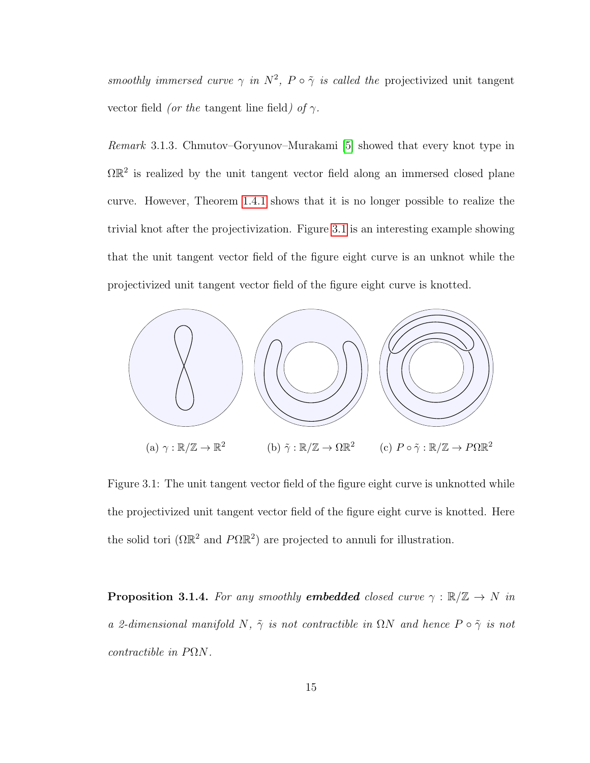smoothly immersed curve  $\gamma$  in  $N^2$ ,  $P \circ \tilde{\gamma}$  is called the projectivized unit tangent vector field (or the tangent line field) of  $\gamma$ .

Remark 3.1.3. Chmutov–Goryunov–Murakami [\[5\]](#page-50-4) showed that every knot type in  $\Omega \mathbb{R}^2$  is realized by the unit tangent vector field along an immersed closed plane curve. However, Theorem [1.4.1](#page-10-1) shows that it is no longer possible to realize the trivial knot after the projectivization. Figure [3.1](#page-18-0) is an interesting example showing that the unit tangent vector field of the figure eight curve is an unknot while the projectivized unit tangent vector field of the figure eight curve is knotted.

<span id="page-18-0"></span>

Figure 3.1: The unit tangent vector field of the figure eight curve is unknotted while the projectivized unit tangent vector field of the figure eight curve is knotted. Here the solid tori  $(\Omega \mathbb{R}^2 \text{ and } P \Omega \mathbb{R}^2)$  are projected to annuli for illustration.

<span id="page-18-1"></span>**Proposition 3.1.4.** For any smoothly **embedded** closed curve  $\gamma : \mathbb{R}/\mathbb{Z} \to N$  in a 2-dimensional manifold N,  $\tilde{\gamma}$  is not contractible in  $\Omega N$  and hence  $P \circ \tilde{\gamma}$  is not contractible in PΩN.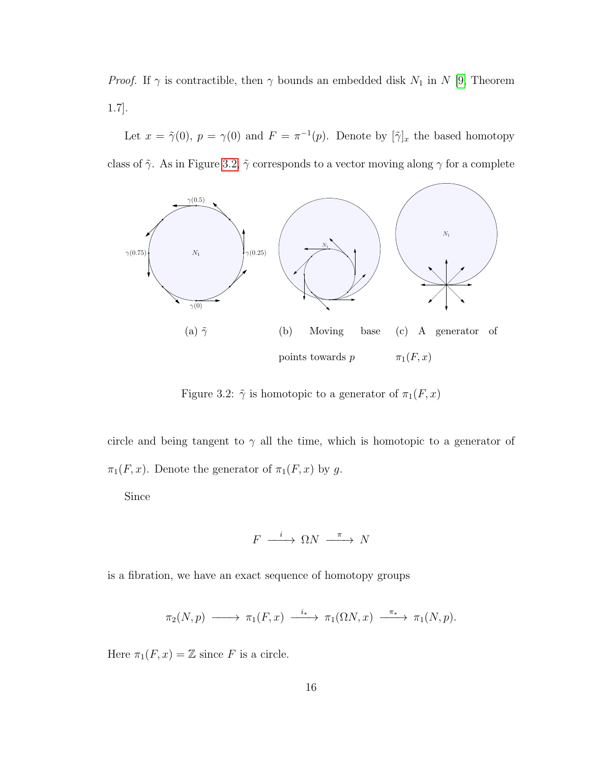*Proof.* If  $\gamma$  is contractible, then  $\gamma$  bounds an embedded disk  $N_1$  in N [\[9,](#page-51-6) Theorem 1.7].

Let  $x = \tilde{\gamma}(0)$ ,  $p = \gamma(0)$  and  $F = \pi^{-1}(p)$ . Denote by  $[\tilde{\gamma}]_x$  the based homotopy class of  $\tilde{\gamma}$ . As in Figure [3.2,](#page-19-0)  $\tilde{\gamma}$  corresponds to a vector moving along  $\gamma$  for a complete

<span id="page-19-0"></span>

Figure 3.2:  $\tilde{\gamma}$  is homotopic to a generator of  $\pi_1(F, x)$ 

circle and being tangent to  $\gamma$  all the time, which is homotopic to a generator of  $\pi_1(F, x)$ . Denote the generator of  $\pi_1(F, x)$  by g.

Since

$$
F \xrightarrow{i} \Omega N \xrightarrow{\pi} N
$$

is a fibration, we have an exact sequence of homotopy groups

$$
\pi_2(N,p) \longrightarrow \pi_1(F,x) \xrightarrow{i_*} \pi_1(\Omega N,x) \xrightarrow{\pi_*} \pi_1(N,p).
$$

Here  $\pi_1(F, x) = \mathbb{Z}$  since F is a circle.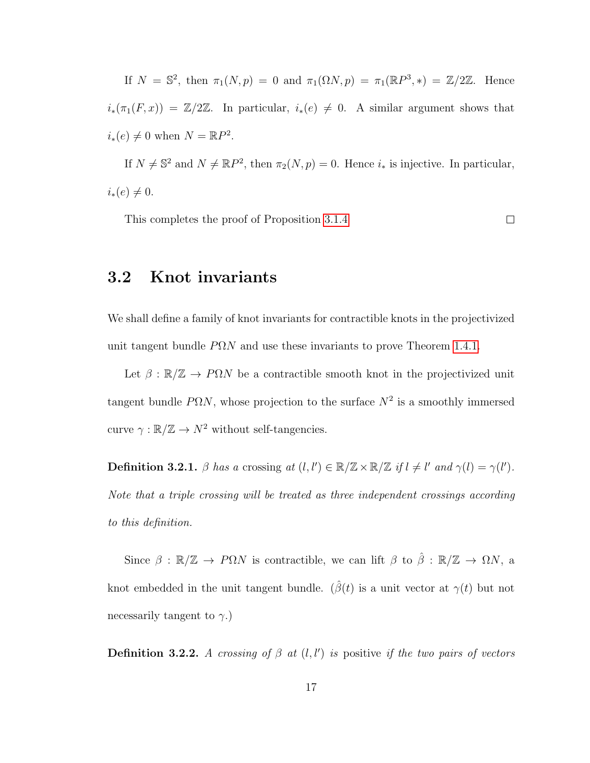If  $N = \mathbb{S}^2$ , then  $\pi_1(N, p) = 0$  and  $\pi_1(\Omega N, p) = \pi_1(\mathbb{R}P^3, *) = \mathbb{Z}/2\mathbb{Z}$ . Hence  $i_*(\pi_1(F, x)) = \mathbb{Z}/2\mathbb{Z}$ . In particular,  $i_*(e) \neq 0$ . A similar argument shows that  $i_*(e) \neq 0$  when  $N = \mathbb{R}P^2$ .

If  $N \neq \mathbb{S}^2$  and  $N \neq \mathbb{R}P^2$ , then  $\pi_2(N, p) = 0$ . Hence  $i_*$  is injective. In particular,  $i_*(e) \neq 0.$ 

This completes the proof of Proposition [3.1.4](#page-18-1)

 $\Box$ 

## <span id="page-20-0"></span>3.2 Knot invariants

We shall define a family of knot invariants for contractible knots in the projectivized unit tangent bundle  $P\Omega N$  and use these invariants to prove Theorem [1.4.1.](#page-10-1)

Let  $\beta : \mathbb{R}/\mathbb{Z} \to P\Omega N$  be a contractible smooth knot in the projectivized unit tangent bundle  $P\Omega N$ , whose projection to the surface  $N^2$  is a smoothly immersed curve  $\gamma : \mathbb{R}/\mathbb{Z} \to N^2$  without self-tangencies.

**Definition 3.2.1.**  $\beta$  has a crossing at  $(l, l') \in \mathbb{R}/\mathbb{Z} \times \mathbb{R}/\mathbb{Z}$  if  $l \neq l'$  and  $\gamma(l) = \gamma(l')$ . Note that a triple crossing will be treated as three independent crossings according to this definition.

Since  $\beta : \mathbb{R}/\mathbb{Z} \to P\Omega N$  is contractible, we can lift  $\beta$  to  $\hat{\beta} : \mathbb{R}/\mathbb{Z} \to \Omega N$ , a knot embedded in the unit tangent bundle. ( $\hat{\beta}(t)$  is a unit vector at  $\gamma(t)$  but not necessarily tangent to  $\gamma$ .)

**Definition 3.2.2.** A crossing of  $\beta$  at  $(l, l')$  is positive if the two pairs of vectors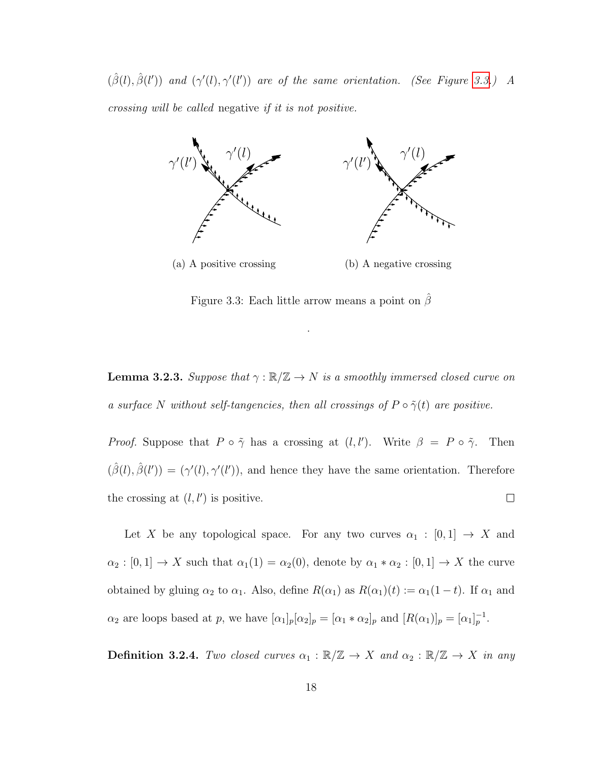$(\hat{\beta}(l), \hat{\beta}(l'))$  and  $(\gamma'(l), \gamma'(l'))$  are of the same orientation. (See Figure [3.3.](#page-21-0)) A crossing will be called negative if it is not positive.

<span id="page-21-0"></span>

Figure 3.3: Each little arrow means a point on  $\beta$ 

.

<span id="page-21-1"></span>**Lemma 3.2.3.** Suppose that  $\gamma : \mathbb{R}/\mathbb{Z} \to N$  is a smoothly immersed closed curve on a surface N without self-tangencies, then all crossings of  $P \circ \tilde{\gamma}(t)$  are positive.

*Proof.* Suppose that  $P \circ \tilde{\gamma}$  has a crossing at  $(l, l')$ . Write  $\beta = P \circ \tilde{\gamma}$ . Then  $(\hat{\beta}(l), \hat{\beta}(l')) = (\gamma'(l), \gamma'(l'))$ , and hence they have the same orientation. Therefore the crossing at  $(l, l')$  is positive.  $\Box$ 

Let X be any topological space. For any two curves  $\alpha_1 : [0,1] \rightarrow X$  and  $\alpha_2 : [0,1] \to X$  such that  $\alpha_1(1) = \alpha_2(0)$ , denote by  $\alpha_1 * \alpha_2 : [0,1] \to X$  the curve obtained by gluing  $\alpha_2$  to  $\alpha_1$ . Also, define  $R(\alpha_1)$  as  $R(\alpha_1)(t) := \alpha_1(1-t)$ . If  $\alpha_1$  and  $\alpha_2$  are loops based at p, we have  $[\alpha_1]_p[\alpha_2]_p = [\alpha_1 * \alpha_2]_p$  and  $[R(\alpha_1)]_p = [\alpha_1]_p^{-1}$ .

**Definition 3.2.4.** Two closed curves  $\alpha_1 : \mathbb{R}/\mathbb{Z} \to X$  and  $\alpha_2 : \mathbb{R}/\mathbb{Z} \to X$  in any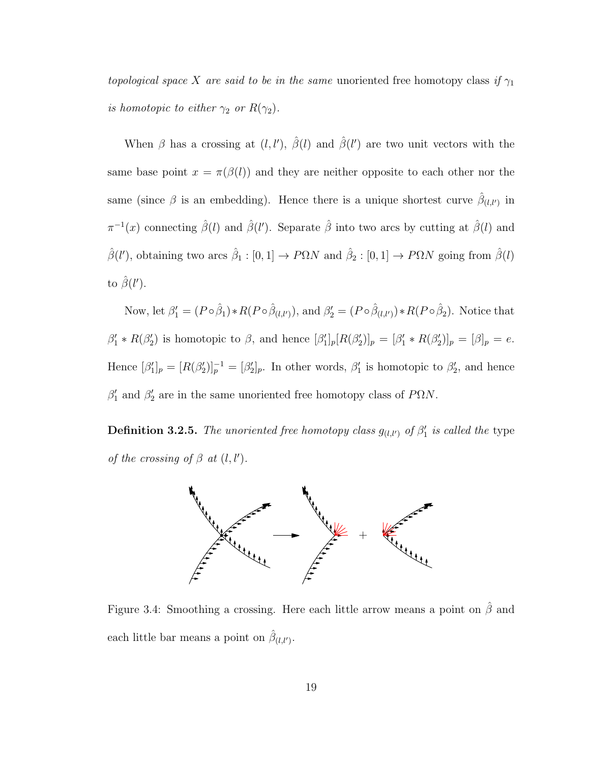topological space X are said to be in the same unoriented free homotopy class if  $\gamma_1$ is homotopic to either  $\gamma_2$  or  $R(\gamma_2)$ .

When  $\beta$  has a crossing at  $(l, l')$ ,  $\hat{\beta}(l)$  and  $\hat{\beta}(l')$  are two unit vectors with the same base point  $x = \pi(\beta(l))$  and they are neither opposite to each other nor the same (since  $\beta$  is an embedding). Hence there is a unique shortest curve  $\hat{\beta}_{(l,l')}$  in  $\pi^{-1}(x)$  connecting  $\hat{\beta}(l)$  and  $\hat{\beta}(l')$ . Separate  $\hat{\beta}$  into two arcs by cutting at  $\hat{\beta}(l)$  and  $\hat{\beta}(l')$ , obtaining two arcs  $\hat{\beta}_1 : [0,1] \to P\Omega N$  and  $\hat{\beta}_2 : [0,1] \to P\Omega N$  going from  $\hat{\beta}(l)$ to  $\hat{\beta}(l').$ 

Now, let  $\beta_1' = (P \circ \hat{\beta}_1) * R(P \circ \hat{\beta}_{(l,l')})$ , and  $\beta_2' = (P \circ \hat{\beta}_{(l,l')}) * R(P \circ \hat{\beta}_2)$ . Notice that  $\beta'_1 * R(\beta'_2)$  is homotopic to  $\beta$ , and hence  $[\beta'_1]_p[R(\beta'_2)]_p = [\beta'_1 * R(\beta'_2)]_p = [\beta]_p = e$ . Hence  $[\beta'_1]_p = [R(\beta'_2)]_p^{-1} = [\beta'_2]_p$ . In other words,  $\beta'_1$  is homotopic to  $\beta'_2$ , and hence  $\beta_1'$  and  $\beta_2'$  are in the same unoriented free homotopy class of P $\Omega N$ .

**Definition 3.2.5.** The unoriented free homotopy class  $g_{(l,l')}$  of  $\beta'_1$  is called the type of the crossing of  $\beta$  at  $(l, l')$ .



Figure 3.4: Smoothing a crossing. Here each little arrow means a point on  $\hat{\beta}$  and each little bar means a point on  $\hat{\beta}_{(l,l')}$ .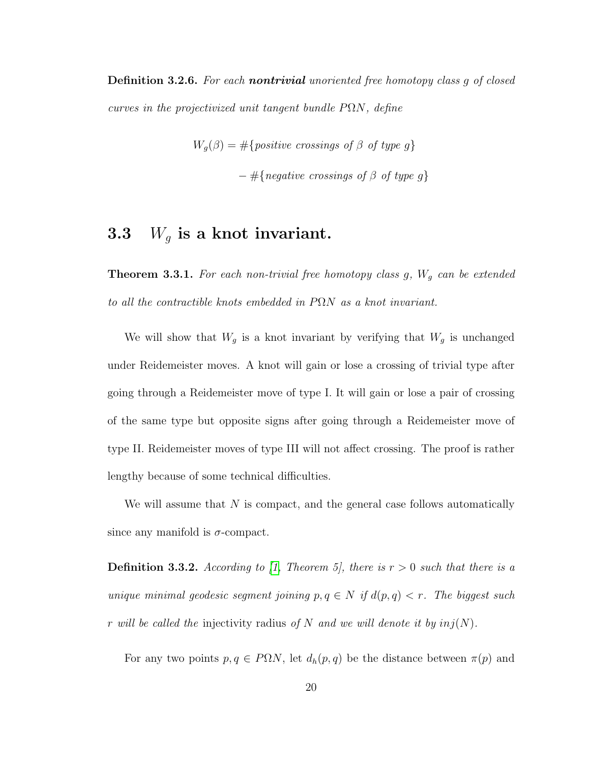Definition 3.2.6. For each nontrivial unoriented free homotopy class q of closed curves in the projectivized unit tangent bundle  $P\Omega N$ , define

$$
W_g(\beta) = # \{ positive \text{ crossings of } \beta \text{ of type } g \}
$$

$$
- # \{ negative \text{ crossings of } \beta \text{ of type } g \}
$$

## <span id="page-23-0"></span>3.3  $W_q$  is a knot invariant.

<span id="page-23-1"></span>**Theorem 3.3.1.** For each non-trivial free homotopy class g,  $W_g$  can be extended to all the contractible knots embedded in  $P\Omega N$  as a knot invariant.

We will show that  $W_g$  is a knot invariant by verifying that  $W_g$  is unchanged under Reidemeister moves. A knot will gain or lose a crossing of trivial type after going through a Reidemeister move of type I. It will gain or lose a pair of crossing of the same type but opposite signs after going through a Reidemeister move of type II. Reidemeister moves of type III will not affect crossing. The proof is rather lengthy because of some technical difficulties.

We will assume that  $N$  is compact, and the general case follows automatically since any manifold is  $\sigma$ -compact.

**Definition 3.3.2.** According to [\[1,](#page-50-5) Theorem 5], there is  $r > 0$  such that there is a unique minimal geodesic segment joining  $p, q \in N$  if  $d(p, q) < r$ . The biggest such r will be called the injectivity radius of N and we will denote it by  $inj(N)$ .

For any two points  $p, q \in P\Omega N$ , let  $d_h(p, q)$  be the distance between  $\pi(p)$  and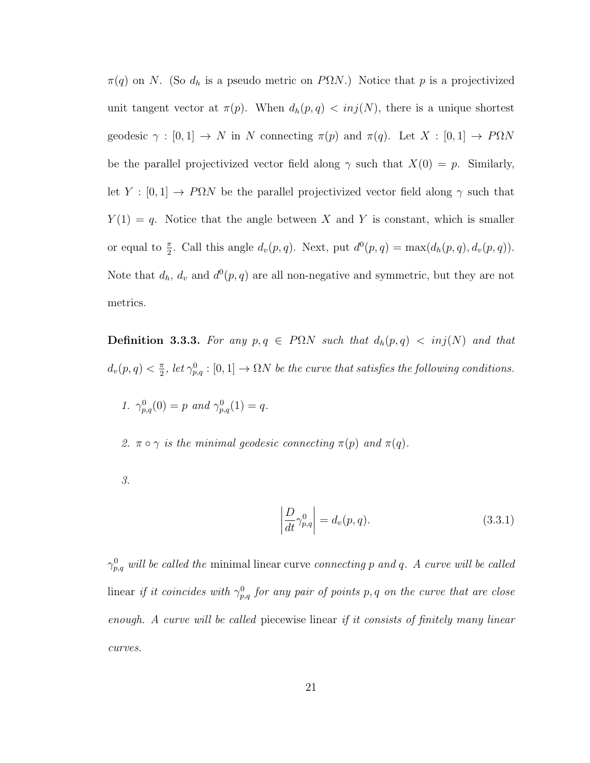$\pi(q)$  on N. (So  $d_h$  is a pseudo metric on P $\Omega N$ .) Notice that p is a projectivized unit tangent vector at  $\pi(p)$ . When  $d_h(p,q) < inj(N)$ , there is a unique shortest geodesic  $\gamma : [0,1] \to N$  in N connecting  $\pi(p)$  and  $\pi(q)$ . Let  $X : [0,1] \to P\Omega N$ be the parallel projectivized vector field along  $\gamma$  such that  $X(0) = p$ . Similarly, let  $Y : [0,1] \rightarrow P\Omega N$  be the parallel projectivized vector field along  $\gamma$  such that  $Y(1) = q$ . Notice that the angle between X and Y is constant, which is smaller or equal to  $\frac{\pi}{2}$ . Call this angle  $d_v(p,q)$ . Next, put  $d^0(p,q) = \max(d_h(p,q), d_v(p,q))$ . Note that  $d_h$ ,  $d_v$  and  $d^0(p, q)$  are all non-negative and symmetric, but they are not metrics.

Definition 3.3.3. For any  $p, q \in P\Omega N$  such that  $d_h(p, q) < inj(N)$  and that  $d_v(p,q) < \frac{\pi}{2}$  $\frac{\pi}{2}$ , let  $\gamma_{p,q}^0:[0,1]\to \Omega N$  be the curve that satisfies the following conditions.

1.  $\gamma_{p,q}^0(0) = p$  and  $\gamma_{p,q}^0(1) = q$ .

2.  $\pi \circ \gamma$  is the minimal geodesic connecting  $\pi(p)$  and  $\pi(q)$ .

3.

<span id="page-24-0"></span>
$$
\left|\frac{D}{dt}\gamma_{p,q}^{0}\right| = d_{v}(p,q). \tag{3.3.1}
$$

 $\gamma_{p,q}^0$  will be called the minimal linear curve connecting p and q. A curve will be called linear if it coincides with  $\gamma_{p,q}^0$  for any pair of points p, q on the curve that are close enough. A curve will be called piecewise linear if it consists of finitely many linear curves.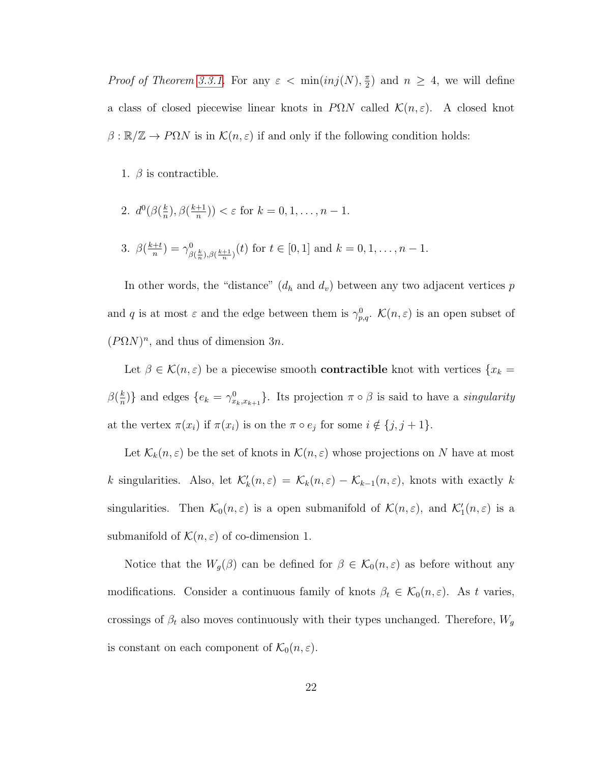*Proof of Theorem [3.3.1.](#page-23-1)* For any  $\varepsilon < \min(inj(N), \frac{\pi}{2})$  $(\frac{\pi}{2})$  and  $n \geq 4$ , we will define a class of closed piecewise linear knots in  $P\Omega N$  called  $\mathcal{K}(n,\varepsilon)$ . A closed knot  $\beta : \mathbb{R}/\mathbb{Z} \to P\Omega N$  is in  $\mathcal{K}(n,\varepsilon)$  if and only if the following condition holds:

- 1.  $\beta$  is contractible.
- 2.  $d^0(\beta(\frac{k}{n}))$  $(\frac{k}{n}), \beta(\frac{k+1}{n})$  $\frac{+1}{n})$   $< \varepsilon$  for  $k = 0, 1, \ldots, n - 1$ .
- 3.  $\beta\left(\frac{k+t}{n}\right)$  $\frac{+t}{n})=\gamma^0_\beta$  ${}_{\beta(\frac{k}{n}),\beta(\frac{k+1}{n})}^{0}(t)$  for  $t \in [0,1]$  and  $k = 0, 1, \ldots, n-1$ .

In other words, the "distance"  $(d_h \text{ and } d_v)$  between any two adjacent vertices p and q is at most  $\varepsilon$  and the edge between them is  $\gamma_{p,q}^0$ .  $\mathcal{K}(n,\varepsilon)$  is an open subset of  $(P\Omega N)^n$ , and thus of dimension 3n.

Let  $\beta \in \mathcal{K}(n,\varepsilon)$  be a piecewise smooth **contractible** knot with vertices  $\{x_k =$  $\beta(\frac{k}{n})$  $\binom{k}{n}$  and edges  $\{e_k = \gamma_{x_k,x_{k+1}}^0\}$ . Its projection  $\pi \circ \beta$  is said to have a *singularity* at the vertex  $\pi(x_i)$  if  $\pi(x_i)$  is on the  $\pi \circ e_j$  for some  $i \notin \{j, j + 1\}$ .

Let  $\mathcal{K}_k(n,\varepsilon)$  be the set of knots in  $\mathcal{K}(n,\varepsilon)$  whose projections on N have at most k singularities. Also, let  $\mathcal{K}'_k(n,\varepsilon) = \mathcal{K}_k(n,\varepsilon) - \mathcal{K}_{k-1}(n,\varepsilon)$ , knots with exactly k singularities. Then  $\mathcal{K}_0(n,\varepsilon)$  is a open submanifold of  $\mathcal{K}(n,\varepsilon)$ , and  $\mathcal{K}'_1(n,\varepsilon)$  is a submanifold of  $\mathcal{K}(n,\varepsilon)$  of co-dimension 1.

Notice that the  $W_g(\beta)$  can be defined for  $\beta \in \mathcal{K}_0(n,\varepsilon)$  as before without any modifications. Consider a continuous family of knots  $\beta_t \in \mathcal{K}_0(n,\varepsilon)$ . As t varies, crossings of  $\beta_t$  also moves continuously with their types unchanged. Therefore,  $W_g$ is constant on each component of  $\mathcal{K}_0(n,\varepsilon)$ .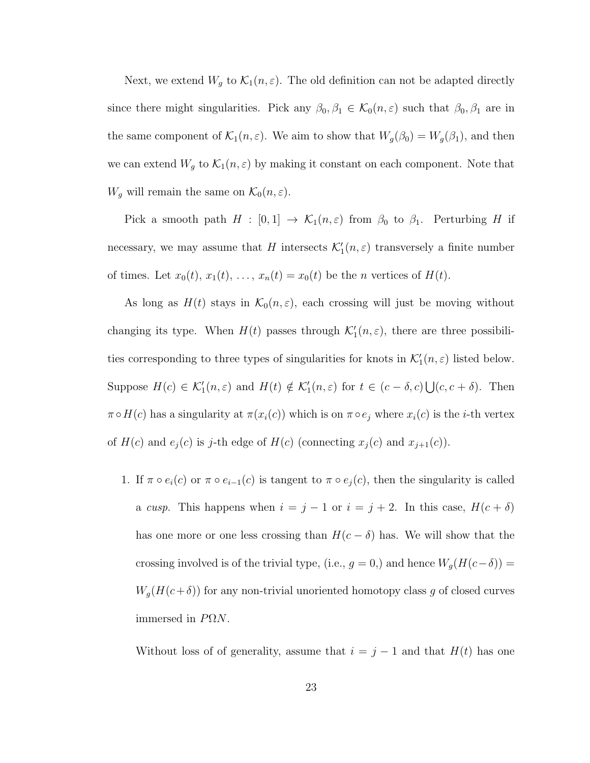Next, we extend  $W_g$  to  $\mathcal{K}_1(n,\varepsilon)$ . The old definition can not be adapted directly since there might singularities. Pick any  $\beta_0, \beta_1 \in \mathcal{K}_0(n, \varepsilon)$  such that  $\beta_0, \beta_1$  are in the same component of  $\mathcal{K}_1(n,\varepsilon)$ . We aim to show that  $W_g(\beta_0) = W_g(\beta_1)$ , and then we can extend  $W_g$  to  $\mathcal{K}_1(n,\varepsilon)$  by making it constant on each component. Note that  $W_g$  will remain the same on  $\mathcal{K}_0(n,\varepsilon)$ .

Pick a smooth path  $H : [0,1] \to \mathcal{K}_1(n,\varepsilon)$  from  $\beta_0$  to  $\beta_1$ . Perturbing H if necessary, we may assume that H intersects  $\mathcal{K}'_1(n,\varepsilon)$  transversely a finite number of times. Let  $x_0(t)$ ,  $x_1(t)$ , ...,  $x_n(t) = x_0(t)$  be the *n* vertices of  $H(t)$ .

As long as  $H(t)$  stays in  $\mathcal{K}_0(n,\varepsilon)$ , each crossing will just be moving without changing its type. When  $H(t)$  passes through  $\mathcal{K}'_1(n,\varepsilon)$ , there are three possibilities corresponding to three types of singularities for knots in  $\mathcal{K}'_1(n,\varepsilon)$  listed below. Suppose  $H(c) \in \mathcal{K}'_1(n,\varepsilon)$  and  $H(t) \notin \mathcal{K}'_1(n,\varepsilon)$  for  $t \in (c-\delta,c) \bigcup (c,c+\delta)$ . Then  $\pi \circ H(c)$  has a singularity at  $\pi(x_i(c))$  which is on  $\pi \circ e_j$  where  $x_i(c)$  is the *i*-th vertex of  $H(c)$  and  $e_j(c)$  is j-th edge of  $H(c)$  (connecting  $x_j(c)$  and  $x_{j+1}(c)$ ).

1. If  $\pi \circ e_i(c)$  or  $\pi \circ e_{i-1}(c)$  is tangent to  $\pi \circ e_j(c)$ , then the singularity is called a cusp. This happens when  $i = j - 1$  or  $i = j + 2$ . In this case,  $H(c + \delta)$ has one more or one less crossing than  $H(c - \delta)$  has. We will show that the crossing involved is of the trivial type, (i.e.,  $g = 0$ ), and hence  $W_g(H(c-\delta)) =$  $W_g(H(c+\delta))$  for any non-trivial unoriented homotopy class g of closed curves immersed in  $P\Omega N$ .

Without loss of of generality, assume that  $i = j - 1$  and that  $H(t)$  has one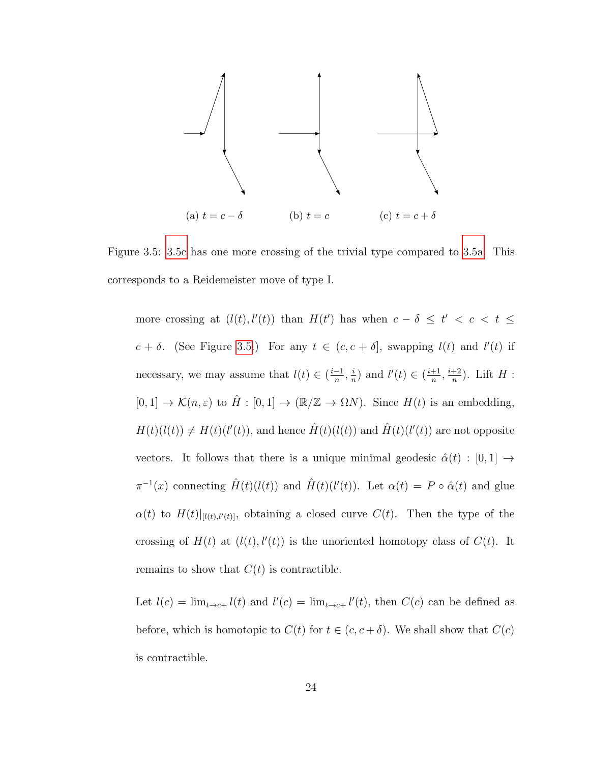<span id="page-27-0"></span>

Figure 3.5: [3.5c](#page-27-0) has one more crossing of the trivial type compared to [3.5a.](#page-27-0) This corresponds to a Reidemeister move of type I.

more crossing at  $(l(t), l'(t))$  than  $H(t')$  has when  $c - \delta \leq t' < c < t \leq$  $c + \delta$ . (See Figure [3.5.](#page-27-0)) For any  $t \in (c, c + \delta]$ , swapping  $l(t)$  and  $l'(t)$  if necessary, we may assume that  $l(t) \in \left(\frac{i-1}{n}, \frac{i}{n}\right)$  $\frac{i}{n}$ ) and  $l'(t) \in \left(\frac{i+1}{n}\right)$  $\frac{i+1}{n}, \frac{i+2}{n}$  $\frac{+2}{n}$ ). Lift  $H$  :  $[0, 1] \to \mathcal{K}(n, \varepsilon)$  to  $\hat{H} : [0, 1] \to (\mathbb{R}/\mathbb{Z} \to \Omega N)$ . Since  $H(t)$  is an embedding,  $H(t)(l(t)) \neq H(t)(l'(t))$ , and hence  $\hat{H}(t)(l(t))$  and  $\hat{H}(t)(l'(t))$  are not opposite vectors. It follows that there is a unique minimal geodesic  $\hat{\alpha}(t) : [0,1] \rightarrow$  $\pi^{-1}(x)$  connecting  $\hat{H}(t)(l(t))$  and  $\hat{H}(t)(l'(t))$ . Let  $\alpha(t) = P \circ \hat{\alpha}(t)$  and glue  $\alpha(t)$  to  $H(t)|_{[l(t),l'(t)]}$ , obtaining a closed curve  $C(t)$ . Then the type of the crossing of  $H(t)$  at  $(l(t), l'(t))$  is the unoriented homotopy class of  $C(t)$ . It remains to show that  $C(t)$  is contractible.

Let  $l(c) = \lim_{t \to c+} l(t)$  and  $l'(c) = \lim_{t \to c+} l'(t)$ , then  $C(c)$  can be defined as before, which is homotopic to  $C(t)$  for  $t \in (c, c + \delta)$ . We shall show that  $C(c)$ is contractible.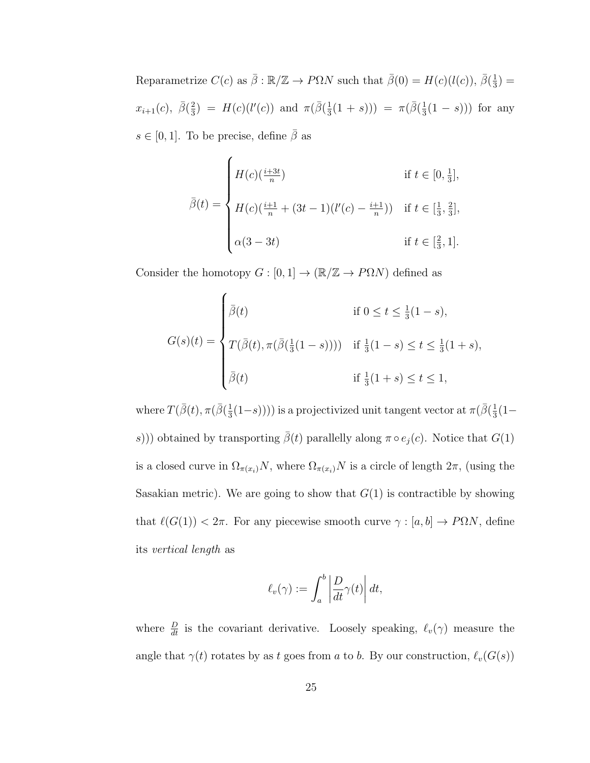Reparametrize  $C(c)$  as  $\bar{\beta}: \mathbb{R}/\mathbb{Z} \to P\Omega N$  such that  $\bar{\beta}(0) = H(c)(l(c)), \bar{\beta}(\frac{1}{3})$  $(\frac{1}{3}) =$  $x_{i+1}(c), \ \bar{\beta}(\frac{2}{3})$  $\frac{2}{3}$ ) =  $H(c)(l'(c))$  and  $\pi(\bar{\beta}(\frac{1}{3}))$  $\frac{1}{3}(1+s)) = \pi(\bar{\beta}(\frac{1}{3})$  $\frac{1}{3}(1-s))$  for any  $s \in [0, 1]$ . To be precise, define  $\bar{\beta}$  as

$$
\bar{\beta}(t) = \begin{cases}\nH(c)(\frac{i+3t}{n}) & \text{if } t \in [0, \frac{1}{3}], \\
H(c)(\frac{i+1}{n} + (3t-1)(l'(c) - \frac{i+1}{n})) & \text{if } t \in [\frac{1}{3}, \frac{2}{3}], \\
\alpha(3-3t) & \text{if } t \in [\frac{2}{3}, 1].\n\end{cases}
$$

Consider the homotopy  $G:[0,1]\to (\mathbb{R}/\mathbb{Z}\to P\Omega N)$  defined as

$$
G(s)(t) = \begin{cases} \bar{\beta}(t) & \text{if } 0 \le t \le \frac{1}{3}(1-s), \\ T(\bar{\beta}(t), \pi(\bar{\beta}(\frac{1}{3}(1-s)))) & \text{if } \frac{1}{3}(1-s) \le t \le \frac{1}{3}(1+s), \\ \bar{\beta}(t) & \text{if } \frac{1}{3}(1+s) \le t \le 1, \end{cases}
$$

where  $T(\bar{\beta}(t), \pi(\bar{\beta}(\frac{1}{3}$  $(\frac{1}{3}(1-s))))$  is a projectivized unit tangent vector at  $\pi(\bar{\beta}(\frac{1}{3}))$  $rac{1}{3}(1$ s))) obtained by transporting  $\bar{\beta}(t)$  parallelly along  $\pi \circ e_j(c)$ . Notice that  $G(1)$ is a closed curve in  $\Omega_{\pi(x_i)}N$ , where  $\Omega_{\pi(x_i)}N$  is a circle of length  $2\pi$ , (using the Sasakian metric). We are going to show that  $G(1)$  is contractible by showing that  $\ell(G(1)) < 2\pi$ . For any piecewise smooth curve  $\gamma : [a, b] \to P\Omega N$ , define its vertical length as

$$
\ell_v(\gamma) := \int_a^b \left| \frac{D}{dt} \gamma(t) \right| dt,
$$

where  $\frac{D}{dt}$  is the covariant derivative. Loosely speaking,  $\ell_v(\gamma)$  measure the angle that  $\gamma(t)$  rotates by as t goes from a to b. By our construction,  $\ell_v(G(s))$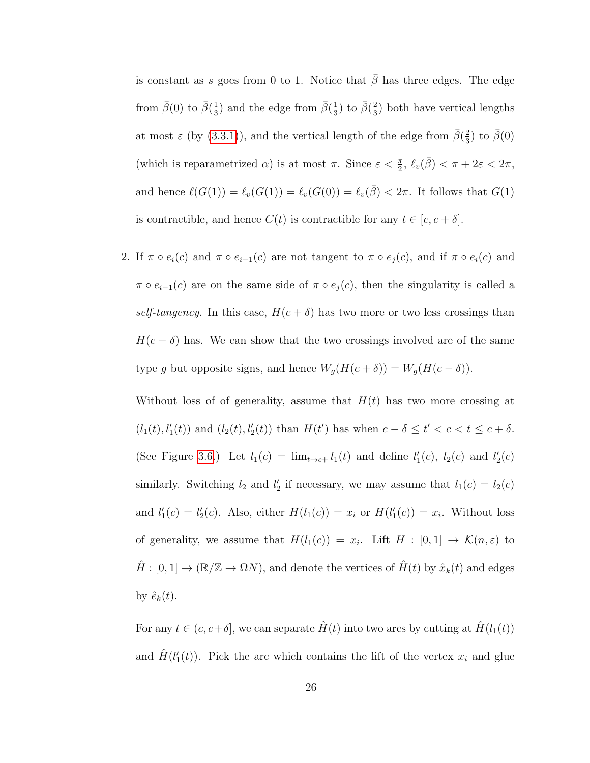is constant as s goes from 0 to 1. Notice that  $\bar{\beta}$  has three edges. The edge from  $\bar{\beta}(0)$  to  $\bar{\beta}(\frac{1}{3})$  $\frac{1}{3}$ ) and the edge from  $\bar{\beta}(\frac{1}{3})$  $\frac{1}{3}$ ) to  $\bar{\beta}(\frac{2}{3})$  $\frac{2}{3}$ ) both have vertical lengths at most  $\varepsilon$  (by [\(3.3.1\)](#page-24-0)), and the vertical length of the edge from  $\bar{\beta}(\frac{2}{3})$  $\frac{2}{3}$ ) to  $\bar{\beta}(0)$ (which is reparametrized  $\alpha$ ) is at most  $\pi$ . Since  $\varepsilon < \frac{\pi}{2}$ ,  $\ell_v(\bar{\beta}) < \pi + 2\varepsilon < 2\pi$ , and hence  $\ell(G(1)) = \ell_v(G(1)) = \ell_v(G(0)) = \ell_v(\bar{\beta}) < 2\pi$ . It follows that  $G(1)$ is contractible, and hence  $C(t)$  is contractible for any  $t \in [c, c + \delta]$ .

2. If  $\pi \circ e_i(c)$  and  $\pi \circ e_{i-1}(c)$  are not tangent to  $\pi \circ e_i(c)$ , and if  $\pi \circ e_i(c)$  and  $\pi \circ e_{i-1}(c)$  are on the same side of  $\pi \circ e_j(c)$ , then the singularity is called a self-tangency. In this case,  $H(c + \delta)$  has two more or two less crossings than  $H(c - \delta)$  has. We can show that the two crossings involved are of the same type g but opposite signs, and hence  $W_g(H(c + \delta)) = W_g(H(c - \delta)).$ 

Without loss of of generality, assume that  $H(t)$  has two more crossing at  $(l_1(t), l'_1(t))$  and  $(l_2(t), l'_2(t))$  than  $H(t')$  has when  $c - \delta \le t' < c < t \le c + \delta$ . (See Figure [3.6.](#page-30-0)) Let  $l_1(c) = \lim_{t \to c+} l_1(t)$  and define  $l'_1(c)$ ,  $l_2(c)$  and  $l'_2(c)$ similarly. Switching  $l_2$  and  $l'_2$  if necessary, we may assume that  $l_1(c) = l_2(c)$ and  $l'_1(c) = l'_2(c)$ . Also, either  $H(l_1(c)) = x_i$  or  $H(l'_1(c)) = x_i$ . Without loss of generality, we assume that  $H(l_1(c)) = x_i$ . Lift  $H : [0,1] \to \mathcal{K}(n,\varepsilon)$  to  $\hat{H} : [0, 1] \to (\mathbb{R}/\mathbb{Z} \to \Omega N)$ , and denote the vertices of  $\hat{H}(t)$  by  $\hat{x}_k(t)$  and edges by  $\hat{e}_k(t)$ .

For any  $t \in (c, c+\delta]$ , we can separate  $\hat{H}(t)$  into two arcs by cutting at  $\hat{H}(l_1(t))$ and  $\hat{H}(l'_{1}(t))$ . Pick the arc which contains the lift of the vertex  $x_{i}$  and glue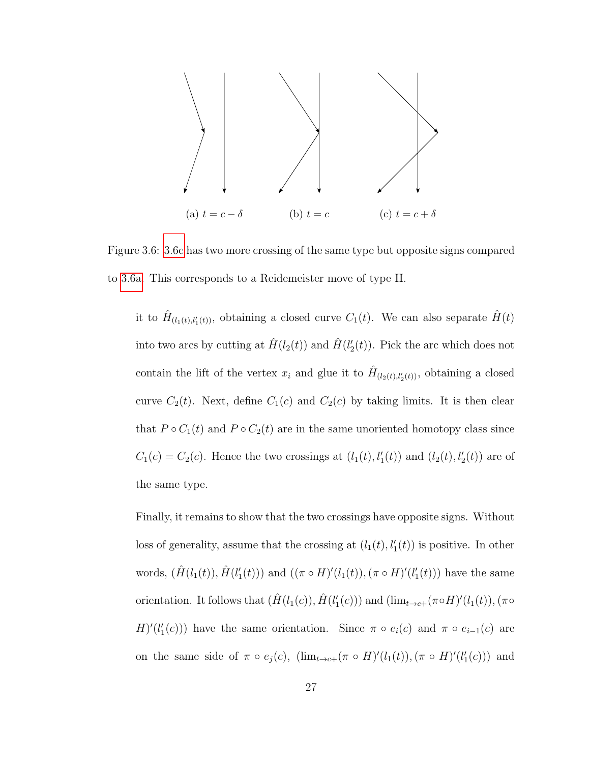<span id="page-30-0"></span>

Figure 3.6: [3.6c](#page-30-0) has two more crossing of the same type but opposite signs compared to [3.6a.](#page-30-0) This corresponds to a Reidemeister move of type II.

it to  $\hat{H}_{(l_1(t),l'_1(t))}$ , obtaining a closed curve  $C_1(t)$ . We can also separate  $\hat{H}(t)$ into two arcs by cutting at  $\hat{H}(l_2(t))$  and  $\hat{H}(l'_2(t))$ . Pick the arc which does not contain the lift of the vertex  $x_i$  and glue it to  $\hat{H}_{(l_2(t),l'_2(t))}$ , obtaining a closed curve  $C_2(t)$ . Next, define  $C_1(c)$  and  $C_2(c)$  by taking limits. It is then clear that  $P \circ C_1(t)$  and  $P \circ C_2(t)$  are in the same unoriented homotopy class since  $C_1(c) = C_2(c)$ . Hence the two crossings at  $(l_1(t), l'_1(t))$  and  $(l_2(t), l'_2(t))$  are of the same type.

Finally, it remains to show that the two crossings have opposite signs. Without loss of generality, assume that the crossing at  $(l_1(t), l'_1(t))$  is positive. In other words,  $(\hat{H}(l_1(t)), \hat{H}(l'_1(t)))$  and  $((\pi \circ H)'(l_1(t)), (\pi \circ H)'(l'_1(t)))$  have the same orientation. It follows that  $(\hat{H}(l_1(c)), \hat{H}(l'_1(c)))$  and  $(\lim_{t\to c+} (\pi \circ H)'(l_1(t)), (\pi \circ$  $H'(\ell'_{1}(c))$  have the same orientation. Since  $\pi \circ e_i(c)$  and  $\pi \circ e_{i-1}(c)$  are on the same side of  $\pi \circ e_j(c)$ ,  $(\lim_{t \to c+} (\pi \circ H)'(l_1(t)), (\pi \circ H)'(l'_1(c)))$  and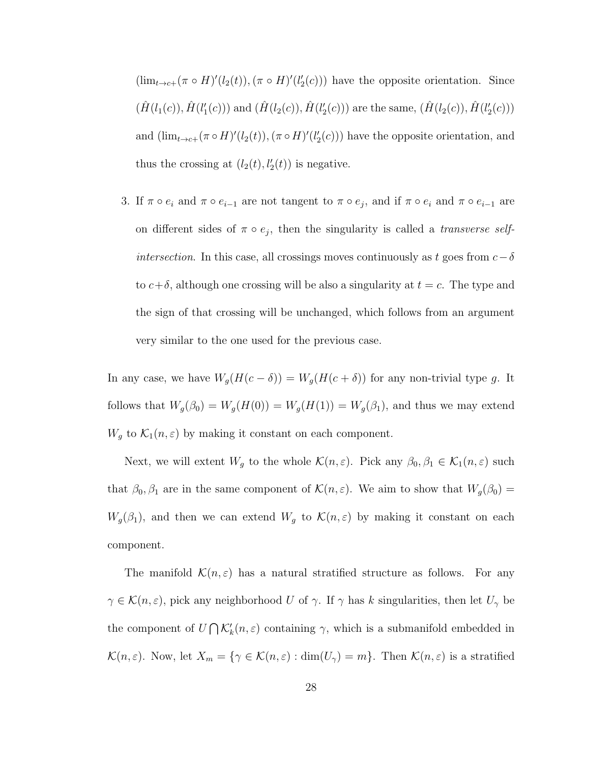$(\lim_{t\to c+}(\pi\circ H)'(l_2(t)), (\pi\circ H)'(l'_2(c)))$  have the opposite orientation. Since  $(\hat{H}(l_1(c)), \hat{H}(l'_1(c)))$  and  $(\hat{H}(l_2(c)), \hat{H}(l'_2(c)))$  are the same,  $(\hat{H}(l_2(c)), \hat{H}(l'_2(c)))$ and  $(\lim_{t\to c+} (\pi \circ H)'(l_2(t)), (\pi \circ H)'(l'_2(c)))$  have the opposite orientation, and thus the crossing at  $(l_2(t), l'_2(t))$  is negative.

3. If  $\pi \circ e_i$  and  $\pi \circ e_{i-1}$  are not tangent to  $\pi \circ e_j$ , and if  $\pi \circ e_i$  and  $\pi \circ e_{i-1}$  are on different sides of  $\pi \circ e_j$ , then the singularity is called a *transverse selfintersection*. In this case, all crossings moves continuously as t goes from  $c - \delta$ to  $c+\delta$ , although one crossing will be also a singularity at  $t = c$ . The type and the sign of that crossing will be unchanged, which follows from an argument very similar to the one used for the previous case.

In any case, we have  $W_g(H(c - \delta)) = W_g(H(c + \delta))$  for any non-trivial type g. It follows that  $W_g(\beta_0) = W_g(H(0)) = W_g(H(1)) = W_g(\beta_1)$ , and thus we may extend  $W_g$  to  $\mathcal{K}_1(n,\varepsilon)$  by making it constant on each component.

Next, we will extent  $W_g$  to the whole  $\mathcal{K}(n,\varepsilon)$ . Pick any  $\beta_0, \beta_1 \in \mathcal{K}_1(n,\varepsilon)$  such that  $\beta_0$ ,  $\beta_1$  are in the same component of  $\mathcal{K}(n,\varepsilon)$ . We aim to show that  $W_g(\beta_0)$  =  $W_g(\beta_1)$ , and then we can extend  $W_g$  to  $\mathcal{K}(n,\varepsilon)$  by making it constant on each component.

The manifold  $\mathcal{K}(n,\varepsilon)$  has a natural stratified structure as follows. For any  $\gamma \in \mathcal{K}(n,\varepsilon)$ , pick any neighborhood U of  $\gamma$ . If  $\gamma$  has k singularities, then let  $U_{\gamma}$  be the component of  $U \cap \mathcal{K}'_k(n, \varepsilon)$  containing  $\gamma$ , which is a submanifold embedded in  $\mathcal{K}(n,\varepsilon)$ . Now, let  $X_m = \{ \gamma \in \mathcal{K}(n,\varepsilon) : \dim(U_\gamma) = m \}$ . Then  $\mathcal{K}(n,\varepsilon)$  is a stratified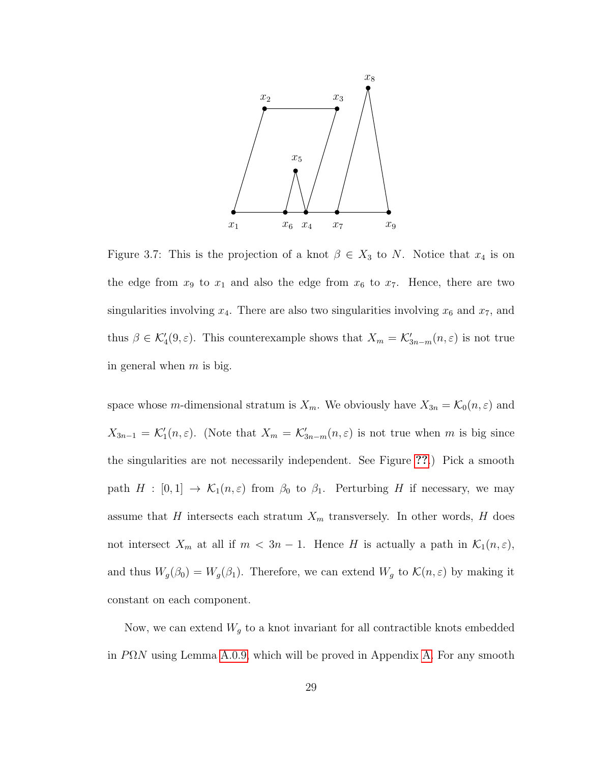<span id="page-32-0"></span>

Figure 3.7: This is the projection of a knot  $\beta \in X_3$  to N. Notice that  $x_4$  is on the edge from  $x_9$  to  $x_1$  and also the edge from  $x_6$  to  $x_7$ . Hence, there are two singularities involving  $x_4$ . There are also two singularities involving  $x_6$  and  $x_7$ , and thus  $\beta \in \mathcal{K}'_4(9, \varepsilon)$ . This counterexample shows that  $X_m = \mathcal{K}'_{3n-m}(n, \varepsilon)$  is not true in general when  $m$  is big.

space whose m-dimensional stratum is  $X_m$ . We obviously have  $X_{3n} = \mathcal{K}_0(n, \varepsilon)$  and  $X_{3n-1} = \mathcal{K}'_1(n,\varepsilon)$ . (Note that  $X_m = \mathcal{K}'_{3n-m}(n,\varepsilon)$  is not true when m is big since the singularities are not necessarily independent. See Figure [??](#page-32-0).) Pick a smooth path  $H : [0,1] \to \mathcal{K}_1(n,\varepsilon)$  from  $\beta_0$  to  $\beta_1$ . Perturbing H if necessary, we may assume that H intersects each stratum  $X_m$  transversely. In other words, H does not intersect  $X_m$  at all if  $m < 3n - 1$ . Hence H is actually a path in  $\mathcal{K}_1(n, \varepsilon)$ , and thus  $W_g(\beta_0) = W_g(\beta_1)$ . Therefore, we can extend  $W_g$  to  $\mathcal{K}(n, \varepsilon)$  by making it constant on each component.

Now, we can extend  $W_g$  to a knot invariant for all contractible knots embedded in  $P\Omega N$  using Lemma [A.0.9,](#page-43-1) which will be proved in Appendix [A.](#page-43-0) For any smooth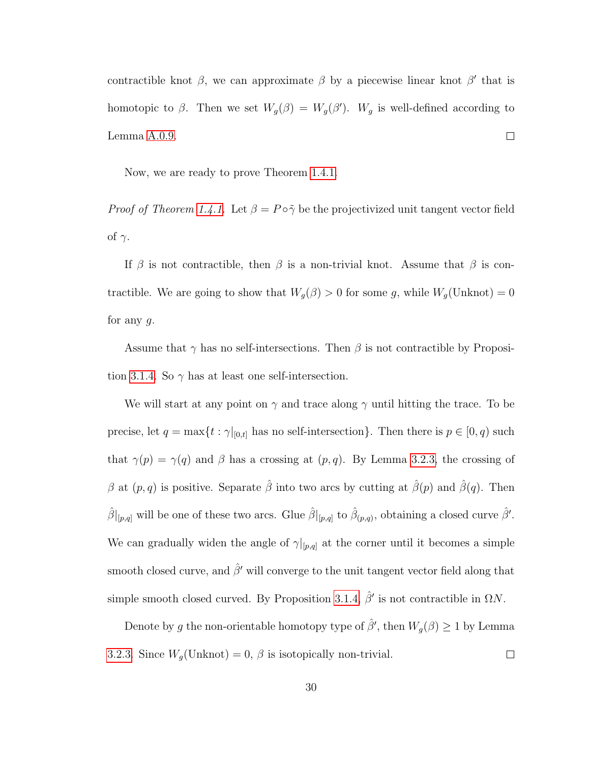contractible knot  $\beta$ , we can approximate  $\beta$  by a piecewise linear knot  $\beta'$  that is homotopic to  $\beta$ . Then we set  $W_g(\beta) = W_g(\beta')$ .  $W_g$  is well-defined according to Lemma [A.0.9.](#page-43-1)  $\Box$ 

Now, we are ready to prove Theorem [1.4.1.](#page-10-1)

*Proof of Theorem [1.4.1.](#page-10-1)* Let  $\beta = P \circ \tilde{\gamma}$  be the projectivized unit tangent vector field of  $\gamma$ .

If  $\beta$  is not contractible, then  $\beta$  is a non-trivial knot. Assume that  $\beta$  is contractible. We are going to show that  $W_g(\beta) > 0$  for some g, while  $W_g(\text{Unknown}) = 0$ for any  $q$ .

Assume that  $\gamma$  has no self-intersections. Then  $\beta$  is not contractible by Proposi-tion [3.1.4.](#page-18-1) So  $\gamma$  has at least one self-intersection.

We will start at any point on  $\gamma$  and trace along  $\gamma$  until hitting the trace. To be precise, let  $q = \max\{t : \gamma|_{[0,t]}$  has no self-intersection}. Then there is  $p \in [0, q)$  such that  $\gamma(p) = \gamma(q)$  and  $\beta$  has a crossing at  $(p, q)$ . By Lemma [3.2.3,](#page-21-1) the crossing of β at  $(p, q)$  is positive. Separate  $\hat{\beta}$  into two arcs by cutting at  $\hat{\beta}(p)$  and  $\hat{\beta}(q)$ . Then  $\hat{\beta}|_{[p,q]}$  will be one of these two arcs. Glue  $\hat{\beta}|_{[p,q]}$  to  $\hat{\beta}_{(p,q)}$ , obtaining a closed curve  $\hat{\beta}'$ . We can gradually widen the angle of  $\gamma|_{[p,q]}$  at the corner until it becomes a simple smooth closed curve, and  $\hat{\beta}'$  will converge to the unit tangent vector field along that simple smooth closed curved. By Proposition [3.1.4,](#page-18-1)  $\hat{\beta}'$  is not contractible in  $\Omega N$ .

Denote by g the non-orientable homotopy type of  $\hat{\beta}'$ , then  $W_g(\beta) \geq 1$  by Lemma [3.2.3.](#page-21-1) Since  $W_g(\text{Unknot}) = 0$ ,  $\beta$  is isotopically non-trivial.  $\Box$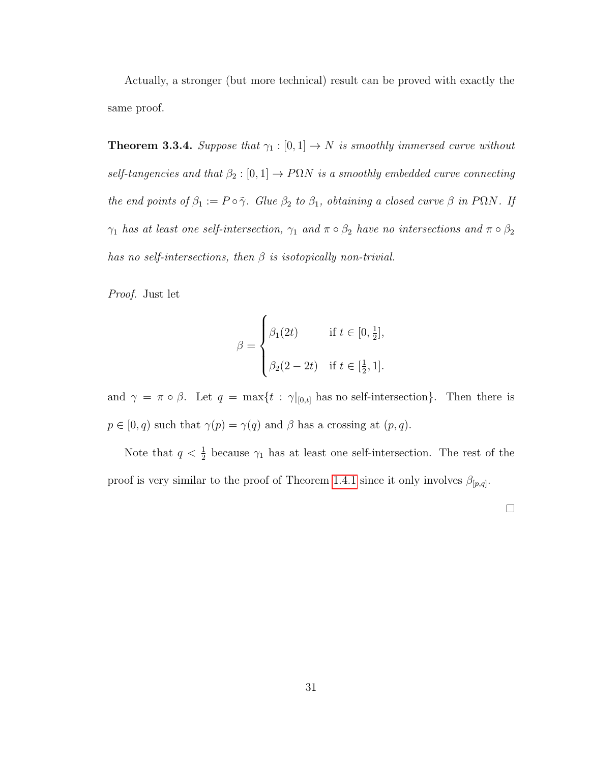Actually, a stronger (but more technical) result can be proved with exactly the same proof.

<span id="page-34-0"></span>**Theorem 3.3.4.** Suppose that  $\gamma_1 : [0, 1] \rightarrow N$  is smoothly immersed curve without self-tangencies and that  $\beta_2 : [0, 1] \rightarrow P\Omega N$  is a smoothly embedded curve connecting the end points of  $\beta_1 := P \circ \tilde{\gamma}$ . Glue  $\beta_2$  to  $\beta_1$ , obtaining a closed curve  $\beta$  in P $\Omega N$ . If  $\gamma_1$  has at least one self-intersection,  $\gamma_1$  and  $\pi \circ \beta_2$  have no intersections and  $\pi \circ \beta_2$ has no self-intersections, then  $\beta$  is isotopically non-trivial.

Proof. Just let

$$
\beta = \begin{cases} \beta_1(2t) & \text{if } t \in [0, \frac{1}{2}], \\ \beta_2(2 - 2t) & \text{if } t \in [\frac{1}{2}, 1]. \end{cases}
$$

and  $\gamma = \pi \circ \beta$ . Let  $q = \max\{t : \gamma|_{[0,t]}$  has no self-intersection}. Then there is  $p \in [0, q)$  such that  $\gamma(p) = \gamma(q)$  and  $\beta$  has a crossing at  $(p, q)$ .

Note that  $q < \frac{1}{2}$  because  $\gamma_1$  has at least one self-intersection. The rest of the proof is very similar to the proof of Theorem [1.4.1](#page-10-1) since it only involves  $\beta_{[p,q]}$ .

 $\Box$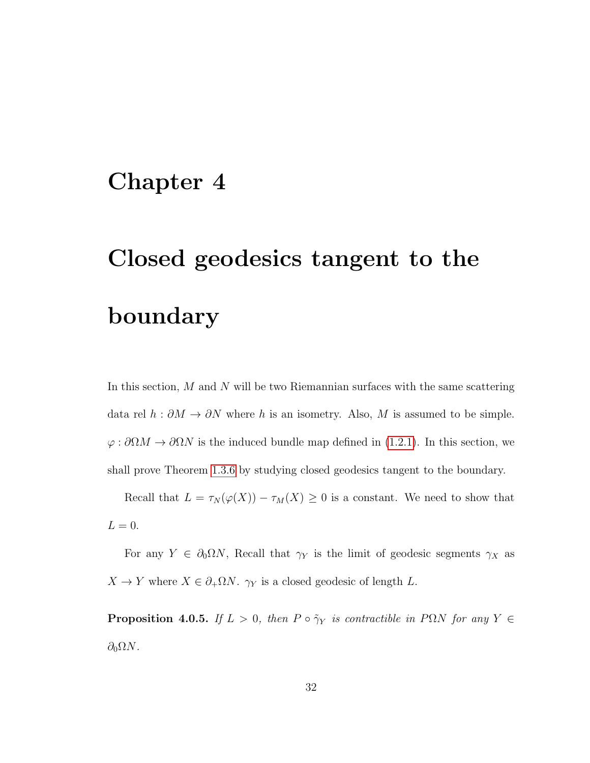## <span id="page-35-0"></span>Chapter 4

# Closed geodesics tangent to the boundary

In this section,  $M$  and  $N$  will be two Riemannian surfaces with the same scattering data rel  $h : \partial M \to \partial N$  where h is an isometry. Also, M is assumed to be simple.  $\varphi : \partial \Omega M \to \partial \Omega N$  is the induced bundle map defined in [\(1.2.1\)](#page-6-1). In this section, we shall prove Theorem [1.3.6](#page-8-0) by studying closed geodesics tangent to the boundary.

Recall that  $L = \tau_N(\varphi(X)) - \tau_M(X) \geq 0$  is a constant. We need to show that  $L = 0$ .

For any  $Y \in \partial_0 \Omega N$ , Recall that  $\gamma_Y$  is the limit of geodesic segments  $\gamma_X$  as  $X \to Y$  where  $X \in \partial_{+} \Omega N$ .  $\gamma_Y$  is a closed geodesic of length L.

<span id="page-35-1"></span>**Proposition 4.0.5.** If  $L > 0$ , then  $P \circ \tilde{\gamma}_Y$  is contractible in PQN for any  $Y \in$  $\partial_0 \Omega N$ .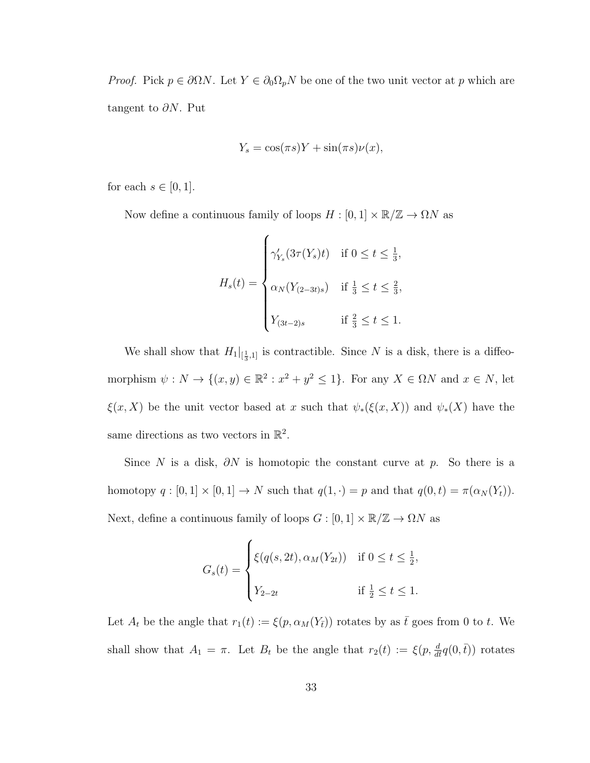*Proof.* Pick  $p \in \partial \Omega N$ . Let  $Y \in \partial_0 \Omega_p N$  be one of the two unit vector at p which are tangent to  $\partial N$ . Put

$$
Y_s = \cos(\pi s)Y + \sin(\pi s)\nu(x),
$$

for each  $s \in [0,1]$ .

Now define a continuous family of loops  $H:[0,1]\times \mathbb{R}/\mathbb{Z} \rightarrow \Omega N$  as

$$
H_s(t) = \begin{cases} \gamma'_{Y_s}(3\tau(Y_s)t) & \text{if } 0 \le t \le \frac{1}{3}, \\ \alpha_N(Y_{(2-3t)s}) & \text{if } \frac{1}{3} \le t \le \frac{2}{3}, \\ Y_{(3t-2)s} & \text{if } \frac{2}{3} \le t \le 1. \end{cases}
$$

We shall show that  $H_1|_{[\frac{1}{3},1]}$  is contractible. Since N is a disk, there is a diffeomorphism  $\psi : N \to \{(x, y) \in \mathbb{R}^2 : x^2 + y^2 \leq 1\}$ . For any  $X \in \Omega N$  and  $x \in N$ , let  $\xi(x, X)$  be the unit vector based at x such that  $\psi_*(\xi(x, X))$  and  $\psi_*(X)$  have the same directions as two vectors in  $\mathbb{R}^2$ .

Since N is a disk,  $\partial N$  is homotopic the constant curve at p. So there is a homotopy  $q : [0, 1] \times [0, 1] \rightarrow N$  such that  $q(1, \cdot) = p$  and that  $q(0, t) = \pi(\alpha_N(Y_t)).$ Next, define a continuous family of loops  $G : [0,1] \times \mathbb{R}/\mathbb{Z} \to \Omega N$  as

$$
G_s(t) = \begin{cases} \xi(q(s, 2t), \alpha_M(Y_{2t})) & \text{if } 0 \le t \le \frac{1}{2}, \\ Y_{2-2t} & \text{if } \frac{1}{2} \le t \le 1. \end{cases}
$$

Let  $A_t$  be the angle that  $r_1(t) := \xi(p, \alpha_M(Y_{\bar{t}}))$  rotates by as  $\bar{t}$  goes from 0 to t. We shall show that  $A_1 = \pi$ . Let  $B_t$  be the angle that  $r_2(t) := \xi(p, \frac{d}{dt}q(0, \overline{t}))$  rotates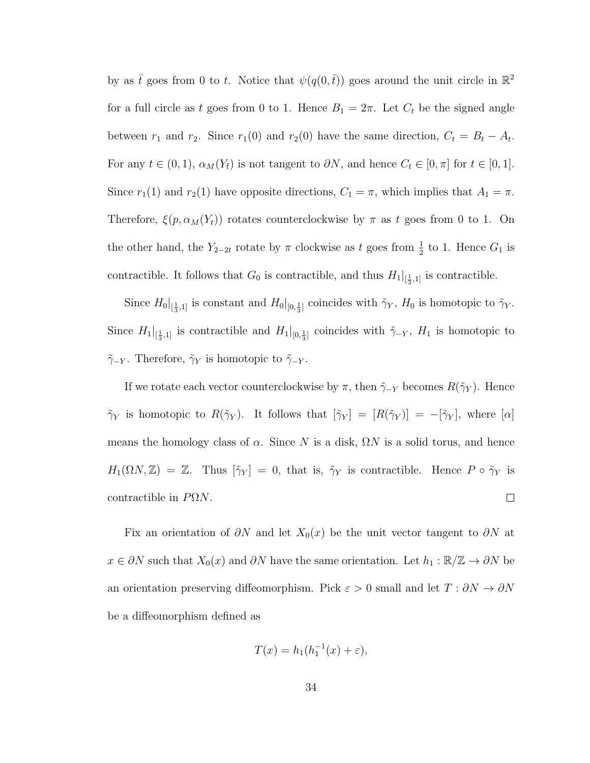by as  $\bar{t}$  goes from 0 to t. Notice that  $\psi(q(0,\bar{t}))$  goes around the unit circle in  $\mathbb{R}^2$ for a full circle as t goes from 0 to 1. Hence  $B_1 = 2\pi$ . Let  $C_t$  be the signed angle between  $r_1$  and  $r_2$ . Since  $r_1(0)$  and  $r_2(0)$  have the same direction,  $C_t = B_t - A_t$ . For any  $t \in (0, 1)$ ,  $\alpha_M(Y_{\bar{t}})$  is not tangent to  $\partial N$ , and hence  $C_t \in [0, \pi]$  for  $t \in [0, 1]$ . Since  $r_1(1)$  and  $r_2(1)$  have opposite directions,  $C_1 = \pi$ , which implies that  $A_1 = \pi$ . Therefore,  $\xi(p, \alpha_M(Y_t))$  rotates counterclockwise by  $\pi$  as t goes from 0 to 1. On the other hand, the  $Y_{2-2t}$  rotate by  $\pi$  clockwise as t goes from  $\frac{1}{2}$  to 1. Hence  $G_1$  is contractible. It follows that  $G_0$  is contractible, and thus  $H_1|_{\left[\frac{1}{3},1\right]}$  is contractible.

Since  $H_0|_{[\frac{1}{3},1]}$  is constant and  $H_0|_{[0,\frac{1}{3}]}$  coincides with  $\tilde{\gamma}_Y$ ,  $H_0$  is homotopic to  $\tilde{\gamma}_Y$ . Since  $H_1|_{[\frac{1}{3},1]}$  is contractible and  $H_1|_{[0,\frac{1}{3}]}$  coincides with  $\tilde{\gamma}_{-Y}, H_1$  is homotopic to  $\tilde{\gamma}_{-Y}$ . Therefore,  $\tilde{\gamma}_Y$  is homotopic to  $\tilde{\gamma}_{-Y}$ .

If we rotate each vector counterclockwise by  $\pi$ , then  $\tilde{\gamma}_{-Y}$  becomes  $R(\tilde{\gamma}_{Y})$ . Hence  $\tilde{\gamma}_Y$  is homotopic to  $R(\tilde{\gamma}_Y)$ . It follows that  $[\tilde{\gamma}_Y] = [R(\tilde{\gamma}_Y)] = -[\tilde{\gamma}_Y]$ , where  $[\alpha]$ means the homology class of  $\alpha$ . Since N is a disk,  $\Omega N$  is a solid torus, and hence  $H_1(\Omega N, \mathbb{Z}) = \mathbb{Z}$ . Thus  $[\tilde{\gamma}_Y] = 0$ , that is,  $\tilde{\gamma}_Y$  is contractible. Hence  $P \circ \tilde{\gamma}_Y$  is contractible in  $P\Omega N$ .  $\Box$ 

Fix an orientation of  $\partial N$  and let  $X_0(x)$  be the unit vector tangent to  $\partial N$  at  $x \in \partial N$  such that  $X_0(x)$  and  $\partial N$  have the same orientation. Let  $h_1 : \mathbb{R}/\mathbb{Z} \to \partial N$  be an orientation preserving diffeomorphism. Pick  $\varepsilon > 0$  small and let  $T : \partial N \to \partial N$ be a diffeomorphism defined as

$$
T(x) = h_1(h_1^{-1}(x) + \varepsilon),
$$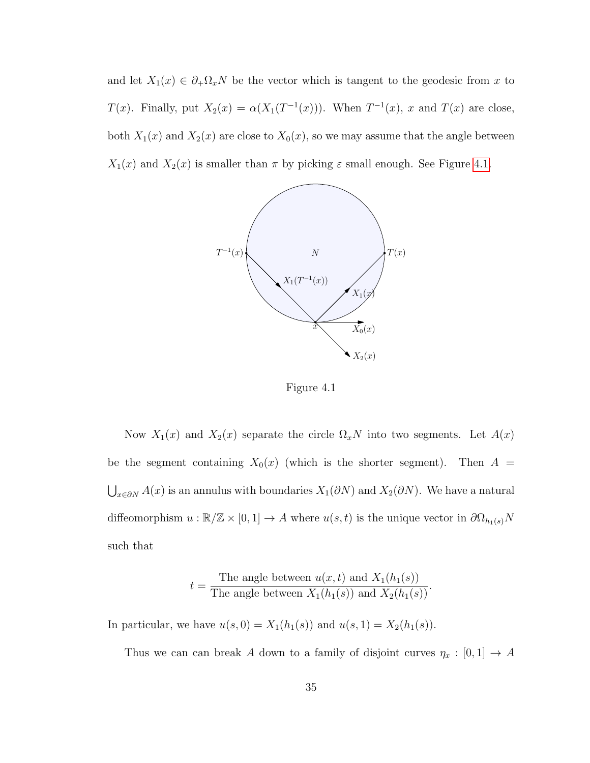<span id="page-38-0"></span>and let  $X_1(x) \in \partial_+ \Omega_x N$  be the vector which is tangent to the geodesic from x to  $T(x)$ . Finally, put  $X_2(x) = \alpha(X_1(T^{-1}(x)))$ . When  $T^{-1}(x)$ , x and  $T(x)$  are close, both  $X_1(x)$  and  $X_2(x)$  are close to  $X_0(x)$ , so we may assume that the angle between  $X_1(x)$  and  $X_2(x)$  is smaller than  $\pi$  by picking  $\varepsilon$  small enough. See Figure [4.1.](#page-38-0)



Figure 4.1

Now  $X_1(x)$  and  $X_2(x)$  separate the circle  $\Omega_x N$  into two segments. Let  $A(x)$ be the segment containing  $X_0(x)$  (which is the shorter segment). Then  $A =$  $\bigcup_{x \in \partial N} A(x)$  is an annulus with boundaries  $X_1(\partial N)$  and  $X_2(\partial N)$ . We have a natural diffeomorphism  $u : \mathbb{R}/\mathbb{Z} \times [0,1] \to A$  where  $u(s,t)$  is the unique vector in  $\partial \Omega_{h_1(s)}N$ such that

$$
t = \frac{\text{The angle between } u(x, t) \text{ and } X_1(h_1(s))}{\text{The angle between } X_1(h_1(s)) \text{ and } X_2(h_1(s))}
$$

In particular, we have  $u(s, 0) = X_1(h_1(s))$  and  $u(s, 1) = X_2(h_1(s))$ .

Thus we can can break A down to a family of disjoint curves  $\eta_x : [0,1] \to A$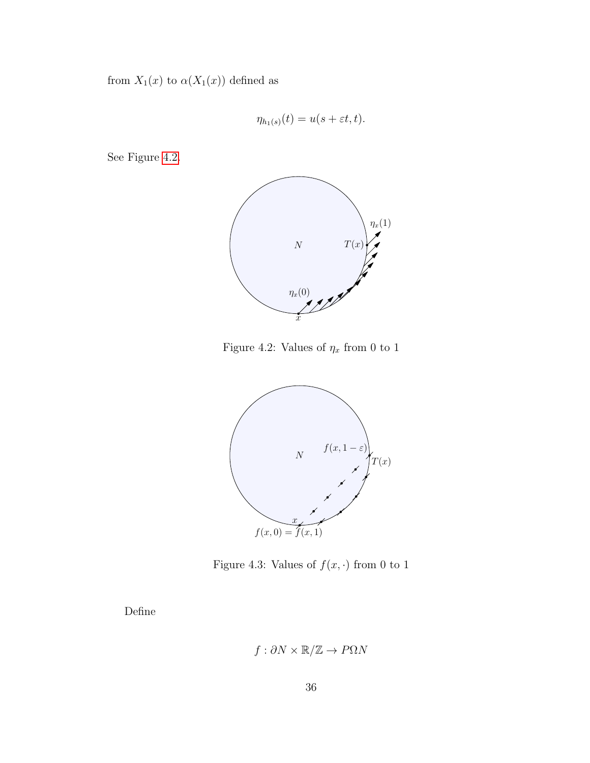from  $X_1(x)$  to  $\alpha(X_1(x))$  defined as

$$
\eta_{h_1(s)}(t) = u(s + \varepsilon t, t).
$$

<span id="page-39-0"></span>See Figure [4.2.](#page-39-0)



Figure 4.2: Values of  $\eta_x$  from 0 to 1

<span id="page-39-1"></span>

Figure 4.3: Values of  $f(x, \cdot)$  from 0 to 1

Define

$$
f: \partial N \times \mathbb{R}/\mathbb{Z} \to P\Omega N
$$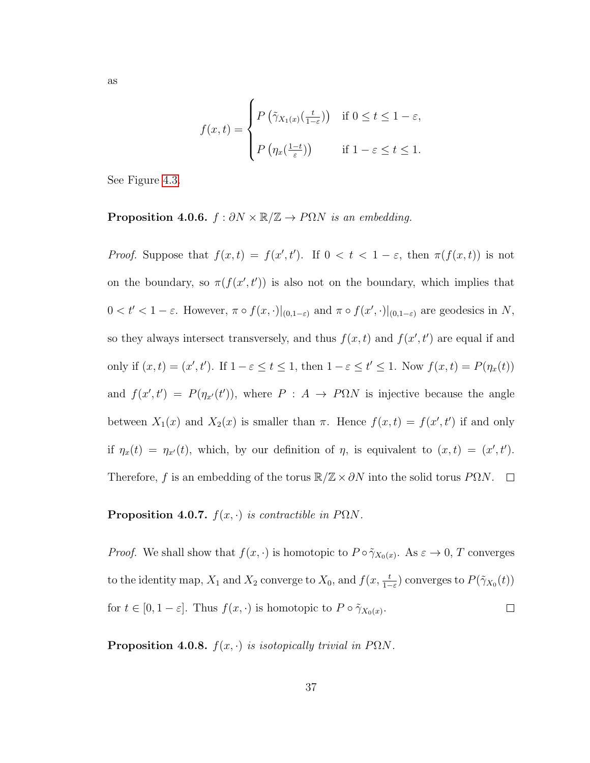$$
f(x,t) = \begin{cases} P\left(\tilde{\gamma}_{X_1(x)}\left(\frac{t}{1-\varepsilon}\right)\right) & \text{if } 0 \le t \le 1-\varepsilon, \\ P\left(\eta_x\left(\frac{1-t}{\varepsilon}\right)\right) & \text{if } 1-\varepsilon \le t \le 1. \end{cases}
$$

See Figure [4.3.](#page-39-1)

**Proposition 4.0.6.**  $f : \partial N \times \mathbb{R}/\mathbb{Z} \to P\Omega N$  is an embedding.

*Proof.* Suppose that  $f(x,t) = f(x',t')$ . If  $0 < t < 1 - \varepsilon$ , then  $\pi(f(x,t))$  is not on the boundary, so  $\pi(f(x', t'))$  is also not on the boundary, which implies that  $0 < t' < 1-\varepsilon$ . However,  $\pi \circ f(x, \cdot)|_{(0,1-\varepsilon)}$  and  $\pi \circ f(x', \cdot)|_{(0,1-\varepsilon)}$  are geodesics in N, so they always intersect transversely, and thus  $f(x,t)$  and  $f(x',t')$  are equal if and only if  $(x, t) = (x', t')$ . If  $1 - \varepsilon \le t \le 1$ , then  $1 - \varepsilon \le t' \le 1$ . Now  $f(x, t) = P(\eta_x(t))$ and  $f(x', t') = P(\eta_{x'}(t'))$ , where  $P : A \to P\Omega N$  is injective because the angle between  $X_1(x)$  and  $X_2(x)$  is smaller than  $\pi$ . Hence  $f(x,t) = f(x',t')$  if and only if  $\eta_x(t) = \eta_{x'}(t)$ , which, by our definition of  $\eta$ , is equivalent to  $(x, t) = (x', t')$ . Therefore, f is an embedding of the torus  $\mathbb{R}/\mathbb{Z}\times\partial N$  into the solid torus P $\Omega N$ .  $\Box$ 

**Proposition 4.0.7.**  $f(x, \cdot)$  is contractible in P $\Omega N$ .

*Proof.* We shall show that  $f(x, \cdot)$  is homotopic to  $P \circ \tilde{\gamma}_{X_0(x)}$ . As  $\varepsilon \to 0$ , T converges to the identity map,  $X_1$  and  $X_2$  converge to  $X_0$ , and  $f(x, \frac{t}{1-\varepsilon})$  converges to  $P(\tilde{\gamma}_{X_0}(t))$ for  $t \in [0, 1-\varepsilon]$ . Thus  $f(x, \cdot)$  is homotopic to  $P \circ \tilde{\gamma}_{X_0(x)}$ .  $\Box$ 

<span id="page-40-0"></span>**Proposition 4.0.8.**  $f(x, \cdot)$  is isotopically trivial in P $\Omega N$ .

37

as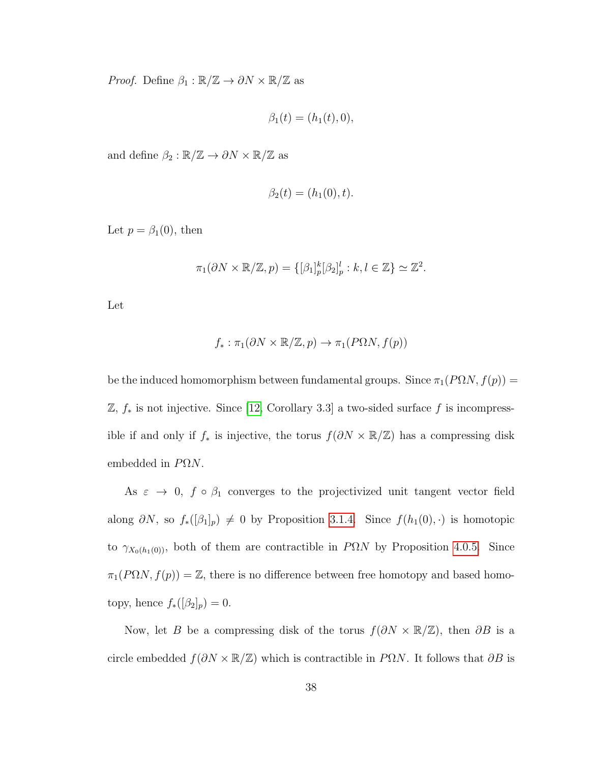*Proof.* Define  $\beta_1 : \mathbb{R}/\mathbb{Z} \to \partial N \times \mathbb{R}/\mathbb{Z}$  as

$$
\beta_1(t) = (h_1(t), 0),
$$

and define  $\beta_2:\mathbb{R}/\mathbb{Z}\to \partial N\times \mathbb{R}/\mathbb{Z}$  as

$$
\beta_2(t) = (h_1(0), t).
$$

Let  $p = \beta_1(0)$ , then

$$
\pi_1(\partial N \times \mathbb{R}/\mathbb{Z}, p) = \{ [\beta_1]_p^k [\beta_2]_p^l : k, l \in \mathbb{Z} \} \simeq \mathbb{Z}^2.
$$

Let

$$
f_*: \pi_1(\partial N \times \mathbb{R}/\mathbb{Z}, p) \to \pi_1(P\Omega N, f(p))
$$

be the induced homomorphism between fundamental groups. Since  $\pi_1(P\Omega N, f(p)) =$  $\mathbb{Z}, f_*$  is not injective. Since [\[12,](#page-51-7) Corollary 3.3] a two-sided surface  $f$  is incompressible if and only if  $f_*$  is injective, the torus  $f(\partial N \times \mathbb{R}/\mathbb{Z})$  has a compressing disk embedded in  $P\Omega N$ .

As  $\varepsilon \to 0$ ,  $f \circ \beta_1$  converges to the projectivized unit tangent vector field along  $\partial N$ , so  $f_*([\beta_1]_p) \neq 0$  by Proposition [3.1.4.](#page-18-1) Since  $f(h_1(0), \cdot)$  is homotopic to  $\gamma_{X_0(h_1(0))}$ , both of them are contractible in P $\Omega N$  by Proposition [4.0.5.](#page-35-1) Since  $\pi_1(P\Omega N, f(p)) = \mathbb{Z}$ , there is no difference between free homotopy and based homotopy, hence  $f_*([\beta_2]_p) = 0$ .

Now, let B be a compressing disk of the torus  $f(\partial N \times \mathbb{R}/\mathbb{Z})$ , then  $\partial B$  is a circle embedded  $f(\partial N \times \mathbb{R}/\mathbb{Z})$  which is contractible in P $\Omega N$ . It follows that  $\partial B$  is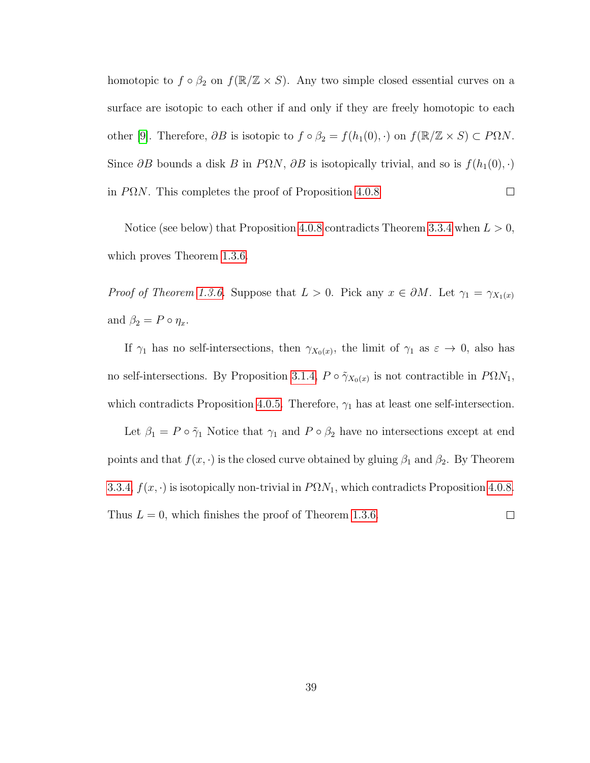homotopic to  $f \circ \beta_2$  on  $f(\mathbb{R}/\mathbb{Z} \times S)$ . Any two simple closed essential curves on a surface are isotopic to each other if and only if they are freely homotopic to each other [\[9\]](#page-51-6). Therefore,  $\partial B$  is isotopic to  $f \circ \beta_2 = f(h_1(0), \cdot)$  on  $f(\mathbb{R}/\mathbb{Z} \times S) \subset P\Omega N$ . Since  $\partial B$  bounds a disk B in P $\Omega N$ ,  $\partial B$  is isotopically trivial, and so is  $f(h_1(0), \cdot)$ in  $P\Omega N$ . This completes the proof of Proposition [4.0.8](#page-40-0)  $\Box$ 

Notice (see below) that Proposition [4.0.8](#page-40-0) contradicts Theorem [3.3.4](#page-34-0) when  $L > 0$ , which proves Theorem [1.3.6.](#page-8-0)

*Proof of Theorem [1.3.6.](#page-8-0)* Suppose that  $L > 0$ . Pick any  $x \in \partial M$ . Let  $\gamma_1 = \gamma_{X_1(x)}$ and  $\beta_2 = P \circ \eta_x$ .

If  $\gamma_1$  has no self-intersections, then  $\gamma_{X_0(x)}$ , the limit of  $\gamma_1$  as  $\varepsilon \to 0$ , also has no self-intersections. By Proposition [3.1.4,](#page-18-1)  $P \circ \tilde{\gamma}_{X_0(x)}$  is not contractible in  $P\Omega N_1$ , which contradicts Proposition [4.0.5.](#page-35-1) Therefore,  $\gamma_1$  has at least one self-intersection.

Let  $\beta_1 = P \circ \tilde{\gamma}_1$  Notice that  $\gamma_1$  and  $P \circ \beta_2$  have no intersections except at end points and that  $f(x, \cdot)$  is the closed curve obtained by gluing  $\beta_1$  and  $\beta_2$ . By Theorem [3.3.4,](#page-34-0)  $f(x, \cdot)$  is isotopically non-trivial in  $P\Omega N_1$ , which contradicts Proposition [4.0.8.](#page-40-0) Thus  $L = 0$ , which finishes the proof of Theorem [1.3.6.](#page-8-0)  $\Box$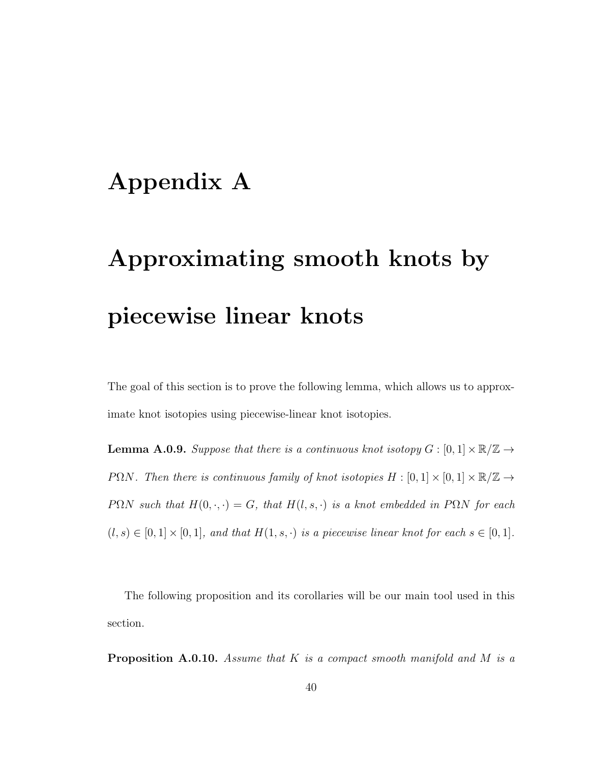# <span id="page-43-0"></span>Appendix A

# Approximating smooth knots by piecewise linear knots

The goal of this section is to prove the following lemma, which allows us to approximate knot isotopies using piecewise-linear knot isotopies.

<span id="page-43-1"></span>**Lemma A.0.9.** Suppose that there is a continuous knot isotopy  $G : [0,1] \times \mathbb{R}/\mathbb{Z} \rightarrow$ PΩN. Then there is continuous family of knot isotopies  $H : [0,1] \times [0,1] \times \mathbb{R}/\mathbb{Z} \rightarrow$ PΩN such that  $H(0, \cdot, \cdot) = G$ , that  $H(l, s, \cdot)$  is a knot embedded in PΩN for each  $(l, s) \in [0, 1] \times [0, 1]$ , and that  $H(1, s, \cdot)$  is a piecewise linear knot for each  $s \in [0, 1]$ .

The following proposition and its corollaries will be our main tool used in this section.

<span id="page-43-2"></span>**Proposition A.0.10.** Assume that K is a compact smooth manifold and M is a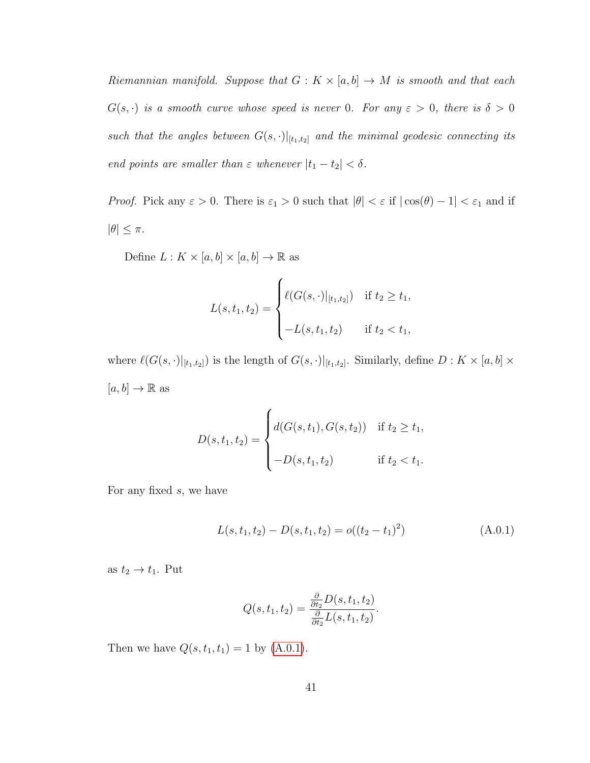Riemannian manifold. Suppose that  $G: K \times [a, b] \rightarrow M$  is smooth and that each  $G(s, \cdot)$  is a smooth curve whose speed is never 0. For any  $\varepsilon > 0$ , there is  $\delta > 0$ such that the angles between  $G(s, \cdot)|_{[t_1,t_2]}$  and the minimal geodesic connecting its end points are smaller than  $\varepsilon$  whenever  $|t_1 - t_2| < \delta$ .

*Proof.* Pick any  $\varepsilon > 0$ . There is  $\varepsilon_1 > 0$  such that  $|\theta| < \varepsilon$  if  $|\cos(\theta) - 1| < \varepsilon_1$  and if  $|\theta| \leq \pi$ .

Define  $L: K \times [a, b] \times [a, b] \rightarrow \mathbb{R}$  as

$$
L(s, t_1, t_2) = \begin{cases} \ell(G(s, \cdot)|_{[t_1, t_2]}) & \text{if } t_2 \ge t_1, \\ -L(s, t_1, t_2) & \text{if } t_2 < t_1, \end{cases}
$$

where  $\ell(G(s, \cdot)|_{[t_1,t_2]})$  is the length of  $G(s, \cdot)|_{[t_1,t_2]}$ . Similarly, define  $D: K \times [a, b] \times$  $[a, b] \to \mathbb{R}$  as

$$
D(s, t_1, t_2) = \begin{cases} d(G(s, t_1), G(s, t_2)) & \text{if } t_2 \ge t_1, \\ -D(s, t_1, t_2) & \text{if } t_2 < t_1. \end{cases}
$$

For any fixed s, we have

$$
L(s, t_1, t_2) - D(s, t_1, t_2) = o((t_2 - t_1)^2)
$$
\n(A.0.1)

as  $t_2 \rightarrow t_1$ . Put

<span id="page-44-0"></span>
$$
Q(s, t_1, t_2) = \frac{\frac{\partial}{\partial t_2} D(s, t_1, t_2)}{\frac{\partial}{\partial t_2} L(s, t_1, t_2)}.
$$

Then we have  $Q(s, t_1, t_1) = 1$  by  $(A.0.1)$ .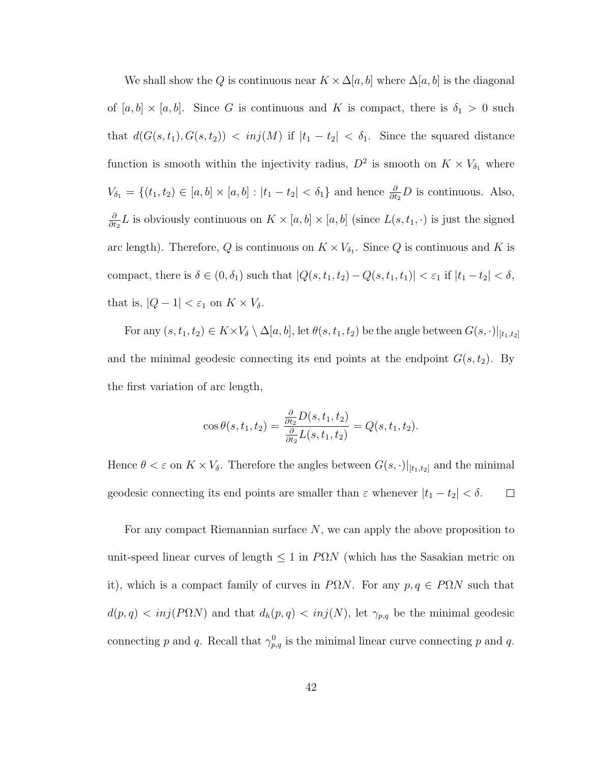We shall show the Q is continuous near  $K \times \Delta[a, b]$  where  $\Delta[a, b]$  is the diagonal of  $[a, b] \times [a, b]$ . Since G is continuous and K is compact, there is  $\delta_1 > 0$  such that  $d(G(s, t_1), G(s, t_2)) < inj(M)$  if  $|t_1 - t_2| < \delta_1$ . Since the squared distance function is smooth within the injectivity radius,  $D^2$  is smooth on  $K \times V_{\delta_1}$  where  $V_{\delta_1} = \{(t_1, t_2) \in [a, b] \times [a, b] : |t_1 - t_2| < \delta_1\}$  and hence  $\frac{\partial}{\partial t_2}D$  is continuous. Also, ∂  $\frac{\partial}{\partial t_2}L$  is obviously continuous on  $K \times [a, b] \times [a, b]$  (since  $L(s, t_1, \cdot)$  is just the signed arc length). Therefore, Q is continuous on  $K \times V_{\delta_1}$ . Since Q is continuous and K is compact, there is  $\delta \in (0, \delta_1)$  such that  $|Q(s, t_1, t_2) - Q(s, t_1, t_1)| < \varepsilon_1$  if  $|t_1 - t_2| < \delta$ , that is,  $|Q - 1| < \varepsilon_1$  on  $K \times V_\delta$ .

For any  $(s, t_1, t_2) \in K \times V_{\delta} \setminus \Delta[a, b],$  let  $\theta(s, t_1, t_2)$  be the angle between  $G(s, \cdot)|_{[t_1, t_2]}$ and the minimal geodesic connecting its end points at the endpoint  $G(s, t_2)$ . By the first variation of arc length,

$$
\cos \theta(s, t_1, t_2) = \frac{\frac{\partial}{\partial t_2} D(s, t_1, t_2)}{\frac{\partial}{\partial t_2} L(s, t_1, t_2)} = Q(s, t_1, t_2).
$$

Hence  $\theta < \varepsilon$  on  $K \times V_{\delta}$ . Therefore the angles between  $G(s, \cdot)|_{[t_1,t_2]}$  and the minimal geodesic connecting its end points are smaller than  $\varepsilon$  whenever  $|t_1 - t_2| < \delta$ .  $\Box$ 

For any compact Riemannian surface N, we can apply the above proposition to unit-speed linear curves of length  $\leq 1$  in P $\Omega N$  (which has the Sasakian metric on it), which is a compact family of curves in P $\Omega N$ . For any  $p, q \in P\Omega N$  such that  $d(p,q) < inj(P\Omega N)$  and that  $d_h(p,q) < inj(N)$ , let  $\gamma_{p,q}$  be the minimal geodesic connecting p and q. Recall that  $\gamma_{p,q}^0$  is the minimal linear curve connecting p and q.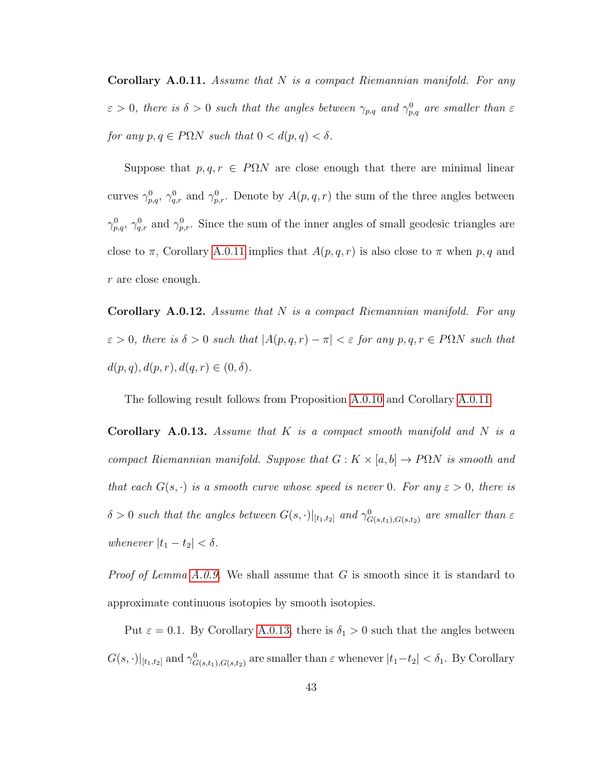<span id="page-46-0"></span>**Corollary A.0.11.** Assume that  $N$  is a compact Riemannian manifold. For any  $\varepsilon > 0$ , there is  $\delta > 0$  such that the angles between  $\gamma_{p,q}$  and  $\gamma_{p,q}^0$  are smaller than  $\varepsilon$ for any  $p, q \in P\Omega N$  such that  $0 < d(p, q) < \delta$ .

Suppose that  $p, q, r \in P\Omega N$  are close enough that there are minimal linear curves  $\gamma_{p,q}^0$ ,  $\gamma_{q,r}^0$  and  $\gamma_{p,r}^0$ . Denote by  $A(p,q,r)$  the sum of the three angles between  $\gamma_{p,q}^0$ ,  $\gamma_{q,r}^0$  and  $\gamma_{p,r}^0$ . Since the sum of the inner angles of small geodesic triangles are close to  $\pi$ , Corollary [A.0.11](#page-46-0) implies that  $A(p, q, r)$  is also close to  $\pi$  when p, q and r are close enough.

<span id="page-46-2"></span>**Corollary A.0.12.** Assume that  $N$  is a compact Riemannian manifold. For any  $\varepsilon > 0$ , there is  $\delta > 0$  such that  $|A(p, q, r) - \pi| < \varepsilon$  for any  $p, q, r \in P\Omega N$  such that  $d(p, q), d(p, r), d(q, r) \in (0, \delta).$ 

The following result follows from Proposition [A.0.10](#page-43-2) and Corollary [A.0.11.](#page-46-0)

<span id="page-46-1"></span>**Corollary A.0.13.** Assume that  $K$  is a compact smooth manifold and  $N$  is a compact Riemannian manifold. Suppose that  $G: K \times [a, b] \rightarrow P\Omega N$  is smooth and that each  $G(s, \cdot)$  is a smooth curve whose speed is never 0. For any  $\varepsilon > 0$ , there is  $\delta > 0$  such that the angles between  $G(s, \cdot)|_{[t_1,t_2]}$  and  $\gamma_{G(s,t_1),G(s,t_2)}^0$  are smaller than  $\varepsilon$ whenever  $|t_1 - t_2| < \delta$ .

*Proof of Lemma [A.0.9.](#page-43-1)* We shall assume that G is smooth since it is standard to approximate continuous isotopies by smooth isotopies.

Put  $\varepsilon = 0.1$ . By Corollary [A.0.13,](#page-46-1) there is  $\delta_1 > 0$  such that the angles between  $G(s,\cdot)|_{[t_1,t_2]}$  and  $\gamma_{G(s,t_1),G(s,t_2)}^0$  are smaller than  $\varepsilon$  whenever  $|t_1-t_2| < \delta_1$ . By Corollary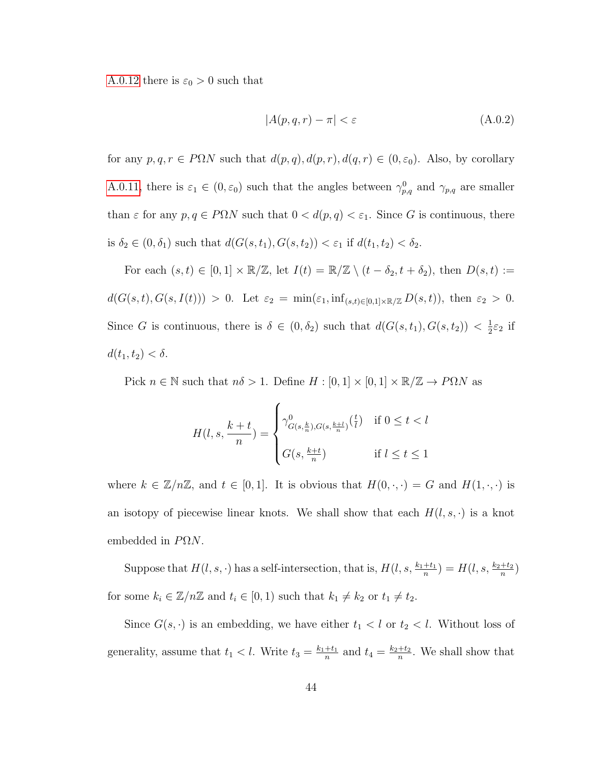[A.0.12](#page-46-2) there is  $\varepsilon_0 > 0$  such that

<span id="page-47-0"></span>
$$
|A(p,q,r) - \pi| < \varepsilon \tag{A.0.2}
$$

for any  $p, q, r \in P\Omega N$  such that  $d(p, q), d(p, r), d(q, r) \in (0, \varepsilon_0)$ . Also, by corollary [A.0.11,](#page-46-0) there is  $\varepsilon_1 \in (0, \varepsilon_0)$  such that the angles between  $\gamma_{p,q}^0$  and  $\gamma_{p,q}$  are smaller than  $\varepsilon$  for any  $p, q \in P\Omega N$  such that  $0 < d(p, q) < \varepsilon_1$ . Since G is continuous, there is  $\delta_2 \in (0, \delta_1)$  such that  $d(G(s, t_1), G(s, t_2)) < \varepsilon_1$  if  $d(t_1, t_2) < \delta_2$ .

For each  $(s, t) \in [0, 1] \times \mathbb{R}/\mathbb{Z}$ , let  $I(t) = \mathbb{R}/\mathbb{Z} \setminus (t - \delta_2, t + \delta_2)$ , then  $D(s, t) :=$  $d(G(s,t), G(s, I(t))) > 0.$  Let  $\varepsilon_2 = \min(\varepsilon_1, \inf_{(s,t)\in[0,1]\times\mathbb{R}/\mathbb{Z}} D(s,t)),$  then  $\varepsilon_2 > 0.$ Since G is continuous, there is  $\delta \in (0, \delta_2)$  such that  $d(G(s, t_1), G(s, t_2)) < \frac{1}{2}$  $rac{1}{2}\varepsilon_2$  if  $d(t_1, t_2) < \delta.$ 

Pick  $n \in \mathbb{N}$  such that  $n\delta > 1$ . Define  $H : [0, 1] \times [0, 1] \times \mathbb{R}/\mathbb{Z} \to P\Omega N$  as

$$
H(l, s, \frac{k+t}{n}) = \begin{cases} \gamma_{G(s, \frac{k}{n}), G(s, \frac{k+l}{n})}^{0} \left(\frac{t}{l}\right) & \text{if } 0 \le t < l \\ G(s, \frac{k+t}{n}) & \text{if } l \le t \le 1 \end{cases}
$$

where  $k \in \mathbb{Z}/n\mathbb{Z}$ , and  $t \in [0,1]$ . It is obvious that  $H(0,\cdot,\cdot) = G$  and  $H(1,\cdot,\cdot)$  is an isotopy of piecewise linear knots. We shall show that each  $H(l, s, \cdot)$  is a knot embedded in  $P\Omega N$ .

Suppose that  $H(l, s, \cdot)$  has a self-intersection, that is,  $H(l, s, \frac{k_1 + t_1}{n}) = H(l, s, \frac{k_2 + t_2}{n})$ for some  $k_i \in \mathbb{Z}/n\mathbb{Z}$  and  $t_i \in [0,1)$  such that  $k_1 \neq k_2$  or  $t_1 \neq t_2$ .

Since  $G(s, \cdot)$  is an embedding, we have either  $t_1 < l$  or  $t_2 < l$ . Without loss of generality, assume that  $t_1 < l$ . Write  $t_3 = \frac{k_1+t_1}{n}$  $\frac{t}{n}$  and  $t_4 = \frac{k_2+t_2}{n}$  $\frac{+t_2}{n}$ . We shall show that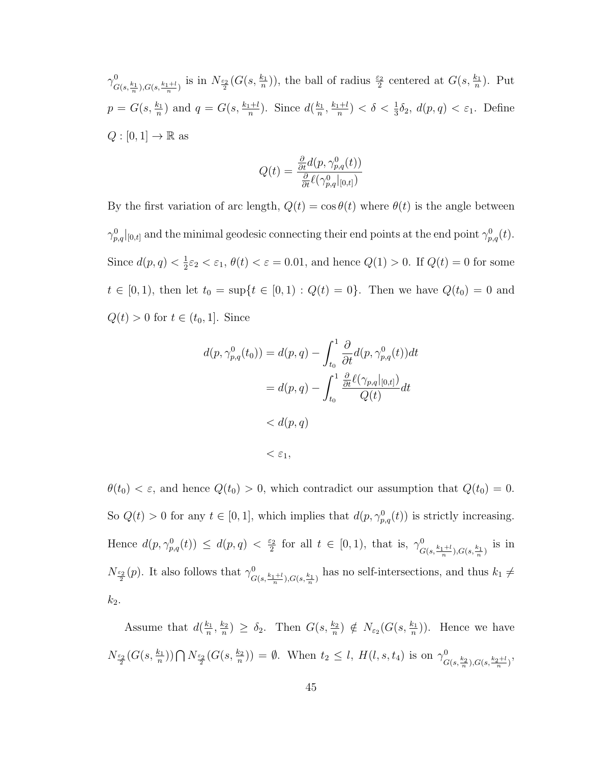$\gamma_c^0$  $G(s,\frac{k_1}{n}),G(s,\frac{k_1+l}{n})$  is in  $N_{\frac{\varepsilon_2}{2}}(G(s,\frac{k_1}{n}))$ , the ball of radius  $\frac{\varepsilon_2}{2}$  centered at  $G(s,\frac{k_1}{n})$ . Put  $p = G(s, \frac{k_1}{n})$  and  $q = G(s, \frac{k_1+l}{n})$ . Since  $d(\frac{k_1}{n})$  $\frac{k_1}{n}, \frac{k_1+l}{n}$  $\frac{a+1}{n}$ ) <  $\delta$  <  $\frac{1}{3}\delta_2$ ,  $d(p,q)$  <  $\varepsilon_1$ . Define  $Q : [0,1] \to \mathbb{R}$  as

$$
Q(t) = \frac{\frac{\partial}{\partial t}d(p, \gamma_{p,q}^0(t))}{\frac{\partial}{\partial t}\ell(\gamma_{p,q}^0|_{[0,t]})}
$$

By the first variation of arc length,  $Q(t) = \cos \theta(t)$  where  $\theta(t)$  is the angle between  $\gamma_{p,q}^0|_{[0,t]}$  and the minimal geodesic connecting their end points at the end point  $\gamma_{p,q}^0(t)$ . Since  $d(p,q) < \frac{1}{2}$  $\frac{1}{2}\varepsilon_2 < \varepsilon_1$ ,  $\theta(t) < \varepsilon = 0.01$ , and hence  $Q(1) > 0$ . If  $Q(t) = 0$  for some  $t \in [0, 1)$ , then let  $t_0 = \sup\{t \in [0, 1) : Q(t) = 0\}$ . Then we have  $Q(t_0) = 0$  and  $Q(t) > 0$  for  $t \in (t_0, 1]$ . Since

$$
d(p, \gamma_{p,q}^0(t_0)) = d(p, q) - \int_{t_0}^1 \frac{\partial}{\partial t} d(p, \gamma_{p,q}^0(t)) dt
$$
  
=  $d(p, q) - \int_{t_0}^1 \frac{\frac{\partial}{\partial t} \ell(\gamma_{p,q}|_{[0,t]})}{Q(t)} dt$   
<  $d(p, q)$   
<  $\epsilon_1$ ,

 $\theta(t_0) < \varepsilon$ , and hence  $Q(t_0) > 0$ , which contradict our assumption that  $Q(t_0) = 0$ . So  $Q(t) > 0$  for any  $t \in [0, 1]$ , which implies that  $d(p, \gamma_{p,q}^0(t))$  is strictly increasing. Hence  $d(p, \gamma_{p,q}^0(t)) \leq d(p,q) < \frac{\varepsilon_2}{2}$  $\frac{\varepsilon_2}{2}$  for all  $t \in [0,1)$ , that is,  $\gamma_G^0$  $\frac{10}{G(s,\frac{k_1+l}{n}),G(s,\frac{k_1}{n})}$  is in  $N_{\frac{\varepsilon_2}{2}}(p)$ . It also follows that  $\gamma_G^0$  $G(s,\frac{k_1+l}{n})$ ,  $G(s,\frac{k_1}{n})$  has no self-intersections, and thus  $k_1 \neq$  $k_2$ .

Assume that  $d(\frac{k_1}{n})$  $\frac{k_1}{n}, \frac{k_2}{n}$  $\frac{k_2}{n}$ )  $\geq \delta_2$ . Then  $G(s, \frac{k_2}{n}) \notin N_{\varepsilon_2}(G(s, \frac{k_1}{n}))$ . Hence we have  $N_{\frac{\varepsilon_2}{2}}(G(s,\frac{k_1}{n})) \bigcap N_{\frac{\varepsilon_2}{2}}(G(s,\frac{k_2}{n})) = \emptyset$ . When  $t_2 \leq l$ ,  $H(l,s,t_4)$  is on  $\gamma_G^0$  $G(s,\frac{k_2}{n}),G(s,\frac{k_2+l}{n})$ '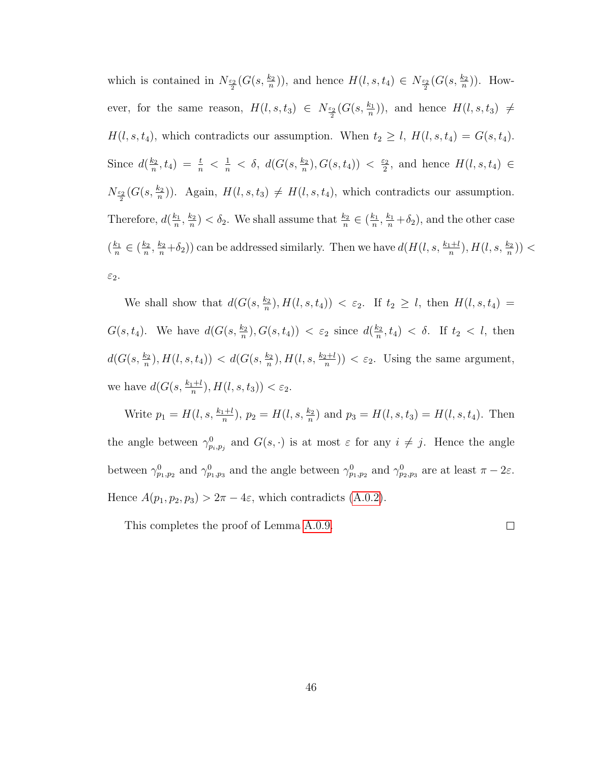which is contained in  $N_{\frac{\varepsilon_2}{2}}(G(s,\frac{k_2}{n}))$ , and hence  $H(l,s,t_4) \in N_{\frac{\varepsilon_2}{2}}(G(s,\frac{k_2}{n}))$ . However, for the same reason,  $H(l, s, t_3) \in N_{\frac{\varepsilon_2}{2}}(G(s, \frac{k_1}{n}))$ , and hence  $H(l, s, t_3) \neq$  $H(l, s, t_4)$ , which contradicts our assumption. When  $t_2 \geq l$ ,  $H(l, s, t_4) = G(s, t_4)$ . Since  $d\left(\frac{k_2}{n}\right)$  $\frac{k_2}{n}, t_4) = \frac{t}{n} < \frac{1}{n} < \delta, d(G(s, \frac{k_2}{n}), G(s, t_4)) < \frac{\varepsilon_2}{2}$  $\frac{\varepsilon_2}{2}$ , and hence  $H(l, s, t_4) \in$  $N_{\frac{\varepsilon_2}{2}}(G(s,\frac{k_2}{n}))$ . Again,  $H(l,s,t_3) \neq H(l,s,t_4)$ , which contradicts our assumption. Therefore,  $d(\frac{k_1}{n})$  $\frac{k_1}{n}, \frac{k_2}{n}$  $\frac{k_2}{n}$ ) <  $\delta_2$ . We shall assume that  $\frac{k_2}{n} \in (\frac{k_1}{n})$  $\frac{k_1}{n}, \frac{k_1}{n} + \delta_2$ , and the other case  $\left(\frac{k_1}{n}\right)$  $\frac{k_1}{n} \in (\frac{k_2}{n}$  $\frac{k_2}{n}, \frac{k_2}{n} + \delta_2$ ) can be addressed similarly. Then we have  $d(H(l, s, \frac{k_1 + l}{n}), H(l, s, \frac{k_2}{n}))$ ε2.

We shall show that  $d(G(s, \frac{k_2}{n}), H(l, s, t_4)) < \varepsilon_2$ . If  $t_2 \geq l$ , then  $H(l, s, t_4)$  =  $G(s, t_4)$ . We have  $d(G(s, \frac{k_2}{n}), G(s, t_4)) < \varepsilon_2$  since  $d(\frac{k_2}{n})$  $\frac{k_2}{n}, t_4$   $< \delta$ . If  $t_2 < l$ , then  $d(G(s, \frac{k_2}{n}), H(l, s, t_4)) < d(G(s, \frac{k_2}{n}), H(l, s, \frac{k_2+l}{n})) < \varepsilon_2$ . Using the same argument, we have  $d(G(s, \frac{k_1+l}{n}), H(l, s, t_3)) < \varepsilon_2$ .

Write  $p_1 = H(l, s, \frac{k_1 + l}{n}), p_2 = H(l, s, \frac{k_2}{n})$  and  $p_3 = H(l, s, t_3) = H(l, s, t_4)$ . Then the angle between  $\gamma_{p_i,p_j}^0$  and  $G(s, \cdot)$  is at most  $\varepsilon$  for any  $i \neq j$ . Hence the angle between  $\gamma_{p_1,p_2}^0$  and  $\gamma_{p_1,p_3}^0$  and the angle between  $\gamma_{p_1,p_2}^0$  and  $\gamma_{p_2,p_3}^0$  are at least  $\pi-2\varepsilon$ . Hence  $A(p_1, p_2, p_3) > 2\pi - 4\varepsilon$ , which contradicts [\(A.0.2\)](#page-47-0).

This completes the proof of Lemma [A.0.9.](#page-43-1)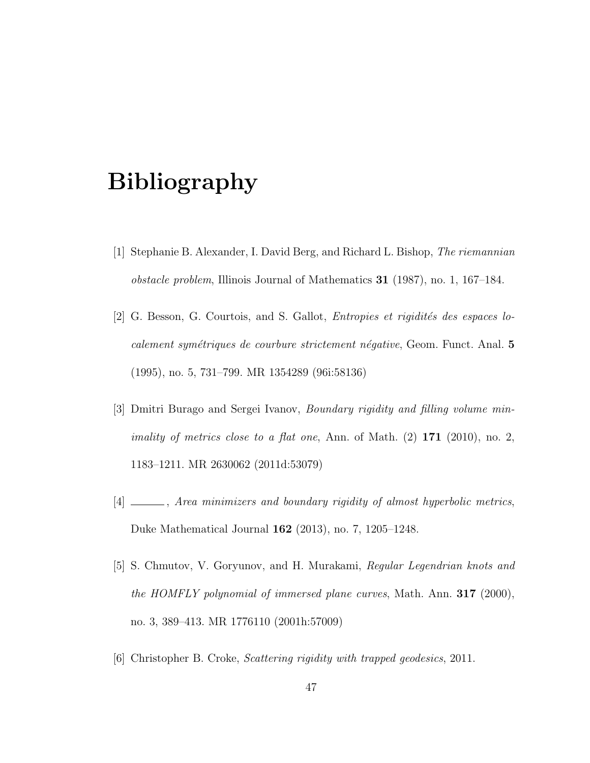# Bibliography

- <span id="page-50-5"></span>[1] Stephanie B. Alexander, I. David Berg, and Richard L. Bishop, The riemannian obstacle problem, Illinois Journal of Mathematics 31 (1987), no. 1, 167–184.
- <span id="page-50-0"></span>[2] G. Besson, G. Courtois, and S. Gallot, *Entropies et rigidités des espaces lo*calement symétriques de courbure strictement négative, Geom. Funct. Anal. 5 (1995), no. 5, 731–799. MR 1354289 (96i:58136)
- <span id="page-50-1"></span>[3] Dmitri Burago and Sergei Ivanov, Boundary rigidity and filling volume min*imality of metrics close to a flat one*, Ann. of Math.  $(2)$  171  $(2010)$ , no. 2, 1183–1211. MR 2630062 (2011d:53079)
- <span id="page-50-2"></span>[4] \_\_\_\_, Area minimizers and boundary rigidity of almost hyperbolic metrics, Duke Mathematical Journal 162 (2013), no. 7, 1205–1248.
- <span id="page-50-4"></span>[5] S. Chmutov, V. Goryunov, and H. Murakami, Regular Legendrian knots and the HOMFLY polynomial of immersed plane curves, Math. Ann.  $317$  (2000), no. 3, 389–413. MR 1776110 (2001h:57009)
- <span id="page-50-3"></span>[6] Christopher B. Croke, Scattering rigidity with trapped geodesics, 2011.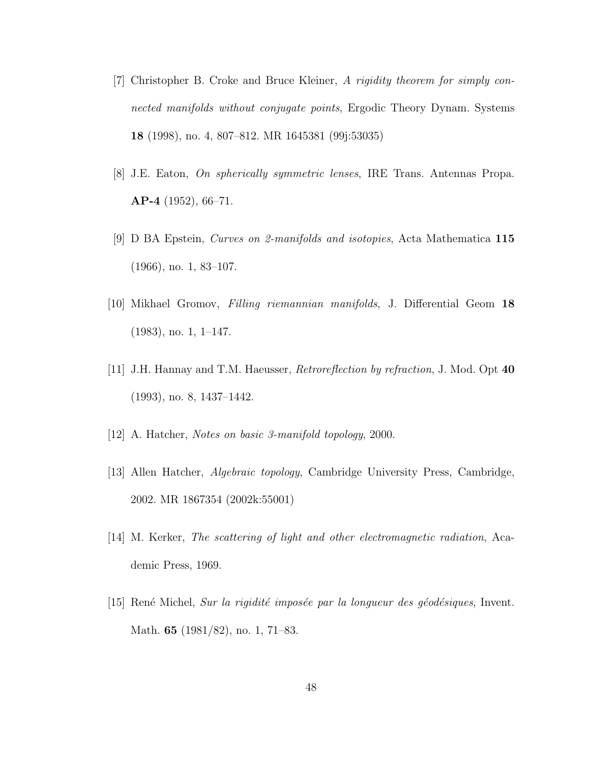- <span id="page-51-5"></span>[7] Christopher B. Croke and Bruce Kleiner, A rigidity theorem for simply connected manifolds without conjugate points, Ergodic Theory Dynam. Systems 18 (1998), no. 4, 807–812. MR 1645381 (99j:53035)
- <span id="page-51-0"></span>[8] J.E. Eaton, On spherically symmetric lenses, IRE Trans. Antennas Propa. AP-4 (1952), 66–71.
- <span id="page-51-6"></span>[9] D BA Epstein, Curves on 2-manifolds and isotopies, Acta Mathematica 115 (1966), no. 1, 83–107.
- <span id="page-51-3"></span>[10] Mikhael Gromov, Filling riemannian manifolds, J. Differential Geom 18 (1983), no. 1, 1–147.
- <span id="page-51-1"></span>[11] J.H. Hannay and T.M. Haeusser, Retroreflection by refraction, J. Mod. Opt 40 (1993), no. 8, 1437–1442.
- <span id="page-51-7"></span>[12] A. Hatcher, Notes on basic 3-manifold topology, 2000.
- [13] Allen Hatcher, Algebraic topology, Cambridge University Press, Cambridge, 2002. MR 1867354 (2002k:55001)
- <span id="page-51-2"></span>[14] M. Kerker, The scattering of light and other electromagnetic radiation, Academic Press, 1969.
- <span id="page-51-4"></span>[15] René Michel, Sur la rigidité imposée par la longueur des géodésiques, Invent. Math. 65 (1981/82), no. 1, 71–83.